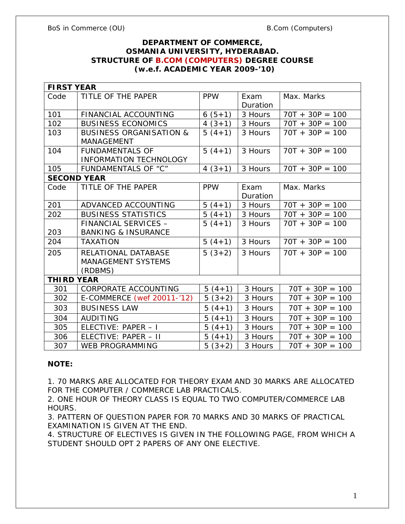# **DEPARTMENT OF COMMERCE, OSMANIA UNIVERSITY, HYDERABAD. STRUCTURE OF B.COM (COMPUTERS) DEGREE COURSE (w.e.f. ACADEMIC YEAR 2009-'10)**

| <b>FIRST YEAR</b>  |                                                             |              |                  |                   |  |
|--------------------|-------------------------------------------------------------|--------------|------------------|-------------------|--|
| Code               | TITLE OF THE PAPER                                          | <b>PPW</b>   | Exam<br>Duration | Max. Marks        |  |
| 101                | FINANCIAL ACCOUNTING                                        | $6(5+1)$     | 3 Hours          | $70T + 30P = 100$ |  |
| 102                | <b>BUSINESS ECONOMICS</b>                                   | 4 $(3+1)$    | 3 Hours          | $70T + 30P = 100$ |  |
| 103                | <b>BUSINESS ORGANISATION &amp;</b><br>MANAGEMENT            | $5(4+1)$     | 3 Hours          | $70T + 30P = 100$ |  |
| 104                | <b>FUNDAMENTALS OF</b><br><b>INFORMATION TECHNOLOGY</b>     | $5(4+1)$     | 3 Hours          | $70T + 30P = 100$ |  |
| 105                | <b>FUNDAMENTALS OF "C"</b>                                  | $4(3+1)$     | 3 Hours          | $70T + 30P = 100$ |  |
| <b>SECOND YEAR</b> |                                                             |              |                  |                   |  |
| Code               | TITLE OF THE PAPER                                          | <b>PPW</b>   | Exam             | Max. Marks        |  |
|                    |                                                             |              | Duration         |                   |  |
| 201                | ADVANCED ACCOUNTING                                         | $5(4+1)$     | 3 Hours          | $70T + 30P = 100$ |  |
| 202                | <b>BUSINESS STATISTICS</b>                                  | $5(4+1)$     | 3 Hours          | $70T + 30P = 100$ |  |
|                    | FINANCIAL SERVICES -                                        | $5(4+1)$     | 3 Hours          | $70T + 30P = 100$ |  |
| 203                | <b>BANKING &amp; INSURANCE</b>                              |              |                  |                   |  |
| 204                | <b>TAXATION</b>                                             | $5(4+1)$     | 3 Hours          | $70T + 30P = 100$ |  |
| 205                | RELATIONAL DATABASE<br><b>MANAGEMENT SYSTEMS</b><br>(RDBMS) | $5(3+2)$     | 3 Hours          | $70T + 30P = 100$ |  |
| THI RD YEAR        |                                                             |              |                  |                   |  |
| 301                | CORPORATE ACCOUNTING                                        | $5(4+1)$     | 3 Hours          | $70T + 30P = 100$ |  |
| 302                | E-COMMERCE (wef 20011-'12)                                  | $5(3+2)$     | 3 Hours          | $70T + 30P = 100$ |  |
| 303                | <b>BUSINESS LAW</b>                                         | $5(4+1)$     | 3 Hours          | $70T + 30P = 100$ |  |
| 304                | <b>AUDITING</b>                                             | 5<br>$(4+1)$ | 3 Hours          | $70T + 30P = 100$ |  |
| 305                | ELECTIVE: PAPER - I                                         | 5<br>$(4+1)$ | 3 Hours          | $70T + 30P = 100$ |  |
| 306                | ELECTIVE: PAPER - II                                        | $5(4+1)$     | 3 Hours          | $70T + 30P = 100$ |  |
| 307                | <b>WEB PROGRAMMING</b>                                      | $5(3+2)$     | 3 Hours          | $70T + 30P = 100$ |  |

#### **NOTE:**

1. 70 MARKS ARE ALLOCATED FOR THEORY EXAM AND 30 MARKS ARE ALLOCATED FOR THE COMPUTER / COMMERCE LAB PRACTICALS.

2. ONE HOUR OF THEORY CLASS IS EQUAL TO TWO COMPUTER/COMMERCE LAB HOURS.

3. PATTERN OF QUESTION PAPER FOR 70 MARKS AND 30 MARKS OF PRACTICAL EXAMINATION IS GIVEN AT THE END.

4. STRUCTURE OF ELECTIVES IS GIVEN IN THE FOLLOWING PAGE, FROM WHICH A STUDENT SHOULD OPT 2 PAPERS OF ANY ONE ELECTIVE.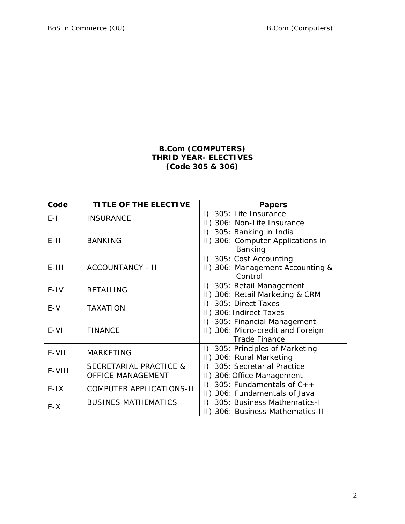BoS in Commerce (OU) and the set of the B.Com (Computers)

# **B.Com (COMPUTERS) THRID YEAR- ELECTIVES (Code 305 & 306)**

| Code    | TITLE OF THE ELECTIVE      | Papers                                  |  |  |
|---------|----------------------------|-----------------------------------------|--|--|
| $E-I$   | <b>INSURANCE</b>           | 1) 305: Life Insurance                  |  |  |
|         |                            | II) 306: Non-Life Insurance             |  |  |
|         | <b>BANKING</b>             | I) 305: Banking in India                |  |  |
| $E-11$  |                            | II) 306: Computer Applications in       |  |  |
|         |                            | Banking                                 |  |  |
|         | <b>ACCOUNTANCY - II</b>    | I) 305: Cost Accounting                 |  |  |
| $E-III$ |                            | II) 306: Management Accounting &        |  |  |
|         |                            | Control                                 |  |  |
| $E-IV$  | <b>RETAILING</b>           | I) 305: Retail Management               |  |  |
|         |                            | II) 306: Retail Marketing & CRM         |  |  |
| $E-V$   | <b>TAXATION</b>            | I) 305: Direct Taxes                    |  |  |
|         |                            | II) 306: Indirect Taxes                 |  |  |
|         | <b>FINANCE</b>             | I) 305: Financial Management            |  |  |
| $E-VI$  |                            | II) 306: Micro-credit and Foreign       |  |  |
|         |                            | <b>Trade Finance</b>                    |  |  |
| E-VII   | <b>MARKETING</b>           | I) 305: Principles of Marketing         |  |  |
|         |                            | 306: Rural Marketing<br>$  \cdot  $     |  |  |
| E-VIII  | SECRETARIAL PRACTICE &     | 305: Secretarial Practice<br>$\vert$ )  |  |  |
|         | <b>OFFICE MANAGEMENT</b>   | 306: Office Management<br>$\vert \vert$ |  |  |
| $E-IX$  | COMPUTER APPLICATIONS-II   | 305: Fundamentals of $C++$<br>$\vert$ ) |  |  |
|         |                            | 306: Fundamentals of Java               |  |  |
| $E-X$   | <b>BUSINES MATHEMATICS</b> | 305: Business Mathematics-I<br>$\Box$   |  |  |
|         |                            | II) 306: Business Mathematics-II        |  |  |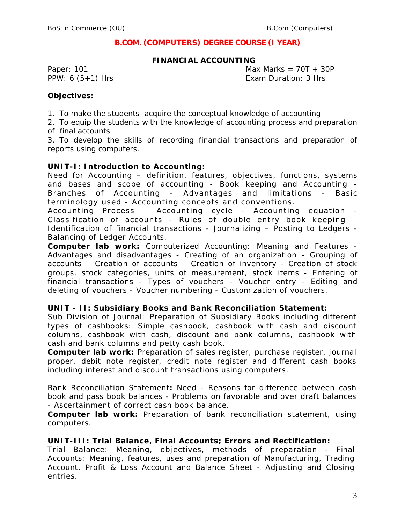# **B.COM. (COMPUTERS) DEGREE COURSE (I YEAR)**

#### **FINANCIAL ACCOUNTING**

Paper: 101 Max Marks =  $70T + 30P$ PPW: 6 (5+1) Hrs Exam Duration: 3 Hrs

**Objectives:**

1. To make the students acquire the conceptual knowledge of accounting

2. To equip the students with the knowledge of accounting process and preparation of final accounts

3. To develop the skills of recording financial transactions and preparation of reports using computers.

**UNIT-I: Introduction to Accounting:**

Need for Accounting – definition, features, objectives, functions, systems and bases and scope of accounting - Book keeping and Accounting - Branches of Accounting - Advantages and limitations - Basic terminology used - Accounting concepts and conventions.

Accounting Process – Accounting cycle - Accounting equation - Classification of accounts - Rules of double entry book keeping  $-$ Identification of financial transactions - Journalizing – Posting to Ledgers - Balancing of Ledger Accounts.

**Computer lab work:** Computerized Accounting: Meaning and Features - Advantages and disadvantages - Creating of an organization - Grouping of accounts – Creation of accounts – Creation of inventory - Creation of stock groups, stock categories, units of measurement, stock items - Entering of financial transactions - Types of vouchers - Voucher entry - Editing and deleting of vouchers - Voucher numbering - Customization of vouchers.

**UNIT - II: Subsidiary Books and Bank Reconciliation Statement:**

Sub Division of Journal: Preparation of Subsidiary Books including different types of cashbooks: Simple cashbook, cashbook with cash and discount columns, cashbook with cash, discount and bank columns, cashbook with cash and bank columns and petty cash book.

**Computer lab work:** Preparation of sales register, purchase register, journal proper, debit note register, credit note register and different cash books including interest and discount transactions using computers.

Bank Reconciliation Statement**:** Need - Reasons for difference between cash book and pass book balances - Problems on favorable and over draft balances - Ascertainment of correct cash book balance.

**Computer lab work:** Preparation of bank reconciliation statement, using computers.

**UNIT-III: Trial Balance, Final Accounts; Errors and Rectification:** Trial Balance: Meaning, objectives, methods of preparation - Final Accounts: Meaning, features, uses and preparation of Manufacturing, Trading Account, Profit & Loss Account and Balance Sheet - Adjusting and Closing entries.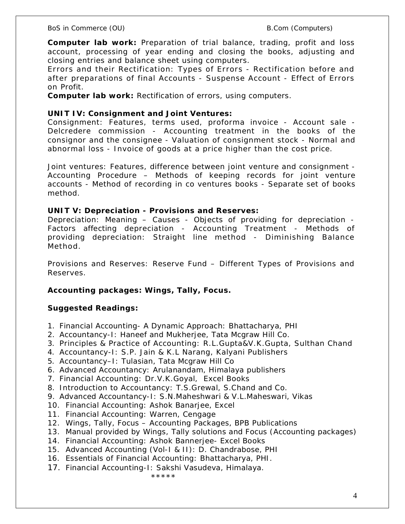**Computer lab work:** Preparation of trial balance, trading, profit and loss account, processing of year ending and closing the books, adjusting and closing entries and balance sheet using computers.

Errors and their Rectification: Types of Errors - Rectification before and after preparations of final Accounts - Suspense Account - Effect of Errors on Profit.

**Computer lab work:** Rectification of errors, using computers.

**UNIT IV: Consignment and Joint Ventures:**

Consignment: Features, terms used, proforma invoice - Account sale - Delcredere commission - Accounting treatment in the books of the consignor and the consignee - Valuation of consignment stock - Normal and abnormal loss - Invoice of goods at a price higher than the cost price.

Joint ventures: Features, difference between joint venture and consignment - Accounting Procedure – Methods of keeping records for joint venture accounts - Method of recording in co ventures books - Separate set of books method.

**UNIT V: Depreciation - Provisions and Reserves:**

Depreciation: Meaning – Causes - Objects of providing for depreciation - Factors affecting depreciation - Accounting Treatment - Methods of providing depreciation: Straight line method - Diminishing Balance Method.

Provisions and Reserves: Reserve Fund – Different Types of Provisions and Reserves.

**Accounting packages: Wings, Tally, Focus.**

**Suggested Readings:**

- 1. Financial Accounting- A Dynamic Approach: Bhattacharya, PHI
- 2. Accountancy-I: Haneef and Mukherjee, Tata Mcgraw Hill Co.
- 3. Principles & Practice of Accounting: R.L.Gupta&V.K.Gupta, Sulthan Chand
- 4. Accountancy-I: S.P. Jain & K.L Narang, Kalyani Publishers
- 5. Accountancy–I: Tulasian, Tata Mcgraw Hill Co
- 6. Advanced Accountancy: Arulanandam, Himalaya publishers
- 7. Financial Accounting: Dr.V.K.Goyal, Excel Books
- 8. Introduction to Accountancy: T.S.Grewal, S.Chand and Co.
- 9. Advanced Accountancy-I: S.N.Maheshwari & V.L.Maheswari, Vikas
- 10. Financial Accounting: Ashok Banarjee, Excel
- 11. Financial Accounting: Warren, Cengage
- 12. Wings, Tally, Focus Accounting Packages, BPB Publications
- 13. Manual provided by Wings, Tally solutions and Focus (Accounting packages)
- 14. Financial Accounting: Ashok Bannerjee- Excel Books
- 15. Advanced Accounting (Vol-I & II): D. Chandrabose, PHI
- 16. Essentials of Financial Accounting: Bhattacharya, PHI.
- 17. Financial Accounting-I: Sakshi Vasudeva, Himalaya.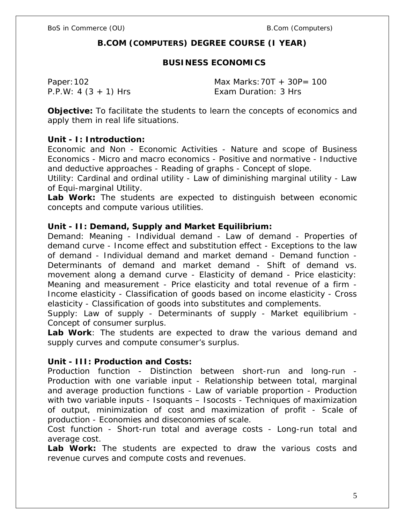# **B.COM (COMPUTERS) DEGREE COURSE (I YEAR)**

# **BUSINESS ECONOMICS**

Paper:102 Max Marks:70T + 30P= 100 P.P.W: 4 (3 + 1) Hrs Exam Duration: 3 Hrs

**Objective:** To facilitate the students to learn the concepts of economics and apply them in real life situations.

# **Unit - I: Introduction:**

Economic and Non - Economic Activities - Nature and scope of Business Economics - Micro and macro economics - Positive and normative - Inductive and deductive approaches - Reading of graphs - Concept of slope.

Utility: Cardinal and ordinal utility - Law of diminishing marginal utility - Law of Equi-marginal Utility.

**Lab Work:** The students are expected to distinguish between economic concepts and compute various utilities.

**Unit - II: Demand, Supply and Market Equilibrium:** 

Demand: Meaning - Individual demand - Law of demand - Properties of demand curve - Income effect and substitution effect - Exceptions to the law of demand - Individual demand and market demand - Demand function - Determinants of demand and market demand - Shift of demand vs. movement along a demand curve - Elasticity of demand - Price elasticity: Meaning and measurement - Price elasticity and total revenue of a firm - Income elasticity - Classification of goods based on income elasticity - Cross elasticity - Classification of goods into substitutes and complements.

Supply: Law of supply - Determinants of supply - Market equilibrium - Concept of consumer surplus.

**Lab Work**: The students are expected to draw the various demand and supply curves and compute consumer's surplus.

# **Unit - III: Production and Costs:**

Production function - Distinction between short-run and long-run - Production with one variable input - Relationship between total, marginal and average production functions - Law of variable proportion - Production with two variable inputs - Isoquants - Isocosts - Techniques of maximization of output, minimization of cost and maximization of profit - Scale of production - Economies and diseconomies of scale.

Cost function - Short-run total and average costs - Long-run total and average cost.

**Lab Work:** The students are expected to draw the various costs and revenue curves and compute costs and revenues.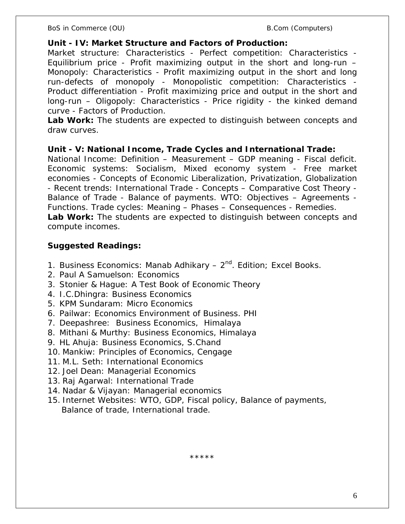**Unit - IV: Market Structure and Factors of Production:**

Market structure: Characteristics - Perfect competition: Characteristics -Equilibrium price - Profit maximizing output in the short and long-run – Monopoly: Characteristics - Profit maximizing output in the short and long run-defects of monopoly - Monopolistic competition: Characteristics - Product differentiation - Profit maximizing price and output in the short and long-run – Oligopoly: Characteristics - Price rigidity - the kinked demand curve - Factors of Production.

**Lab Work:** The students are expected to distinguish between concepts and draw curves.

**Unit - V: National Income, Trade Cycles and International Trade:** National Income: Definition – Measurement – GDP meaning - Fiscal deficit. Economic systems: Socialism, Mixed economy system - Free market economies - Concepts of Economic Liberalization, Privatization, Globalization - Recent trends: International Trade - Concepts – Comparative Cost Theory - Balance of Trade - Balance of payments. WTO: Objectives – Agreements - Functions. Trade cycles: Meaning – Phases – Consequences - Remedies. **Lab Work:** The students are expected to distinguish between concepts and compute incomes.

**Suggested Readings:**

- 1. Business Economics: Manab Adhikary  $-2^{nd}$ . Edition; Excel Books.
- 2. Paul A Samuelson: Economics
- 3. Stonier & Hague: A Test Book of Economic Theory
- 4. I.C.Dhingra: Business Economics
- 5. KPM Sundaram: Micro Economics
- 6. Pailwar: Economics Environment of Business. PHI
- 7. Deepashree: Business Economics, Himalaya
- 8. Mithani & Murthy: Business Economics, Himalaya
- 9. HL Ahuja: Business Economics, S.Chand
- 10. Mankiw: Principles of Economics, Cengage
- 11. M.L. Seth: International Economics
- 12. Joel Dean: Managerial Economics
- 13. Raj Agarwal: International Trade
- 14. Nadar & Vijayan: Managerial economics
- 15. Internet Websites: WTO, GDP, Fiscal policy, Balance of payments, Balance of trade, International trade.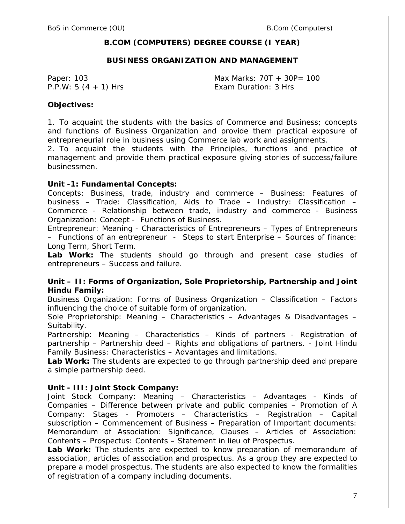# **B.COM (COMPUTERS) DEGREE COURSE (I YEAR)**

#### **BUSINESS ORGANIZATION AND MANAGEMENT**

Paper: 103 Max Marks: 70T + 30P= 100 P.P.W: 5 (4 + 1) Hrs Exam Duration: 3 Hrs

**Objectives:** 

1. To acquaint the students with the basics of Commerce and Business; concepts and functions of Business Organization and provide them practical exposure of entrepreneurial role in business using Commerce lab work and assignments.

2. To acquaint the students with the Principles, functions and practice of management and provide them practical exposure giving stories of success/failure businessmen.

**Unit -1: Fundamental Concepts:**

Concepts: Business, trade, industry and commerce – Business: Features of business – Trade: Classification, Aids to Trade – Industry: Classification – Commerce - Relationship between trade, industry and commerce - Business Organization: Concept - Functions of Business.

Entrepreneur: Meaning - Characteristics of Entrepreneurs – Types of Entrepreneurs – Functions of an entrepreneur - Steps to start Enterprise – Sources of finance: Long Term, Short Term.

**Lab Work:** The students should go through and present case studies of entrepreneurs – Success and failure.

**Unit – II: Forms of Organization, Sole Proprietorship, Partnership and Joint Hindu Family:**

Business Organization: Forms of Business Organization – Classification – Factors influencing the choice of suitable form of organization.

Sole Proprietorship: Meaning – Characteristics – Advantages & Disadvantages – Suitability.

Partnership: Meaning – Characteristics – Kinds of partners - Registration of partnership – Partnership deed – Rights and obligations of partners. - Joint Hindu Family Business: Characteristics – Advantages and limitations.

**Lab Work:** The students are expected to go through partnership deed and prepare a simple partnership deed.

**Unit - III: Joint Stock Company:**

Joint Stock Company: Meaning – Characteristics – Advantages - Kinds of Companies – Difference between private and public companies – Promotion of A Company: Stages - Promoters – Characteristics – Registration – Capital subscription – Commencement of Business – Preparation of Important documents: Memorandum of Association: Significance, Clauses – Articles of Association: Contents – Prospectus: Contents – Statement in lieu of Prospectus.

**Lab Work:** The students are expected to know preparation of memorandum of association, articles of association and prospectus. As a group they are expected to prepare a model prospectus. The students are also expected to know the formalities of registration of a company including documents.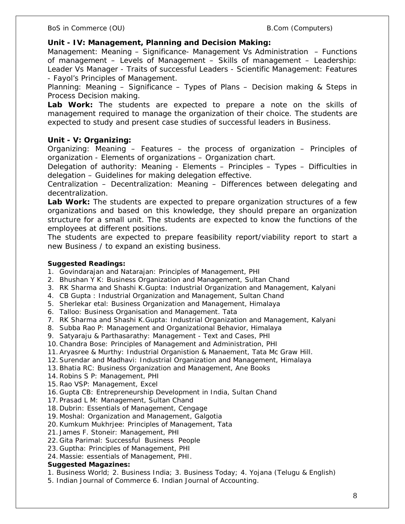**Unit - IV: Management, Planning and Decision Making:**

Management: Meaning – Significance- Management Vs Administration – Functions of management – Levels of Management – Skills of management – Leadership: Leader Vs Manager - Traits of successful Leaders - Scientific Management: Features - Fayol's Principles of Management.

Planning: Meaning – Significance – Types of Plans – Decision making & Steps in Process Decision making.

**Lab Work:** The students are expected to prepare a note on the skills of management required to manage the organization of their choice. The students are expected to study and present case studies of successful leaders in Business.

# **Unit - V: Organizing:**

Organizing: Meaning – Features – the process of organization – Principles of organization - Elements of organizations – Organization chart.

Delegation of authority: Meaning - Elements – Principles – Types – Difficulties in delegation – Guidelines for making delegation effective.

Centralization – Decentralization: Meaning – Differences between delegating and decentralization.

**Lab Work:** The students are expected to prepare organization structures of a few organizations and based on this knowledge, they should prepare an organization structure for a small unit. The students are expected to know the functions of the employees at different positions.

The students are expected to prepare feasibility report/viability report to start a new Business / to expand an existing business.

**Suggested Readings:**

- 1. Govindarajan and Natarajan: Principles of Management, PHI
- 2. Bhushan Y K: Business Organization and Management, Sultan Chand
- 3. RK Sharma and Shashi K.Gupta: Industrial Organization and Management, Kalyani
- 4. CB Gupta : Industrial Organization and Management, Sultan Chand
- 5. Sherlekar etal: Business Organization and Management, Himalaya
- 6. Talloo: Business Organisation and Management. Tata
- 7. RK Sharma and Shashi K.Gupta: Industrial Organization and Management, Kalyani
- 8. Subba Rao P: Management and Organizational Behavior, Himalaya
- 9. Satyaraju & Parthasarathy: Management Text and Cases, PHI
- 10. Chandra Bose: Principles of Management and Administration, PHI
- 11. Aryasree & Murthy: Industrial Organistion & Manaement, Tata Mc Graw Hill.
- 12. Surendar and Madhavi: Industrial Organization and Management, Himalaya
- 13. Bhatia RC: Business Organization and Management, Ane Books
- 14. Robins S P: Management, PHI
- 15. Rao VSP: Management, Excel
- 16. Gupta CB: Entrepreneurship Development in India, Sultan Chand
- 17. Prasad L M: Management, Sultan Chand
- 18. Dubrin: Essentials of Management, Cengage
- 19. Moshal: Organization and Management, Galgotia
- 20. Kumkum Mukhrjee: Principles of Management, Tata
- 21. James F. Stoneir: Management, PHI
- 22. Gita Parimal: Successful Business People
- 23. Guptha: Principles of Management, PHI
- 24. Massie: essentials of Management, PHI.

**Suggested Magazines:**

- 1. Business World; 2. Business India; 3. Business Today; 4. Yojana (Telugu & English)
- 5. Indian Journal of Commerce 6. Indian Journal of Accounting.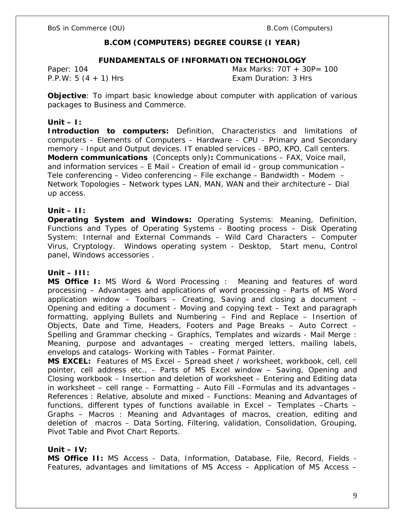# **B.COM (COMPUTERS) DEGREE COURSE (I YEAR)**

#### **FUNDAMENTALS OF INFORMATION TECHONOLOGY**

Paper: 104 Max Marks: 70T + 30P= 100 P.P.W: 5 (4 + 1) Hrs Exam Duration: 3 Hrs

**Objective**: To impart basic knowledge about computer with application of various packages to Business and Commerce.

#### **Unit – I:**

**Introduction to computers:** Definition, Characteristics and limitations of computers - Elements of Computers - Hardware - CPU - Primary and Secondary memory - Input and Output devices. IT enabled services - BPO, KPO, Call centers. **Modern communications** (Concepts only)**:** Communications – FAX, Voice mail, and information services – E Mail – Creation of email id - group communication – Tele conferencing – Video conferencing – File exchange – Bandwidth – Modem – Network Topologies – Network types LAN, MAN, WAN and their architecture – Dial up access.

#### **Unit – II:**

**Operating System and Windows:** Operating Systems: Meaning, Definition, Functions and Types of Operating Systems - Booting process – Disk Operating System: Internal and External Commands – Wild Card Characters – Computer Virus, Cryptology. Windows operating system - Desktop, Start menu, Control panel, Windows accessories .

#### **Unit – III:**

**MS Office I:** MS Word & Word Processing : Meaning and features of word processing – Advantages and applications of word processing - Parts of MS Word application window – Toolbars – Creating, Saving and closing a document – Opening and editing a document - Moving and copying text – Text and paragraph formatting, applying Bullets and Numbering – Find and Replace – Insertion of Objects, Date and Time, Headers, Footers and Page Breaks – Auto Correct – Spelling and Grammar checking – Graphics, Templates and wizards - Mail Merge : Meaning, purpose and advantages – creating merged letters, mailing labels, envelops and catalogs- Working with Tables – Format Painter.

**MS EXCEL:** Features of MS Excel – Spread sheet / worksheet, workbook, cell, cell pointer, cell address etc., - Parts of MS Excel window – Saving, Opening and Closing workbook – Insertion and deletion of worksheet – Entering and Editing data in worksheet – cell range – Formatting – Auto Fill –Formulas and its advantages – References : Relative, absolute and mixed – Functions: Meaning and Advantages of functions, different types of functions available in Excel – Templates –Charts – Graphs – Macros : Meaning and Advantages of macros, creation, editing and deletion of macros – Data Sorting, Filtering, validation, Consolidation, Grouping, Pivot Table and Pivot Chart Reports.

## **Unit – IV:**

**MS Office II:** MS Access - Data, Information, Database, File, Record, Fields - Features, advantages and limitations of MS Access – Application of MS Access –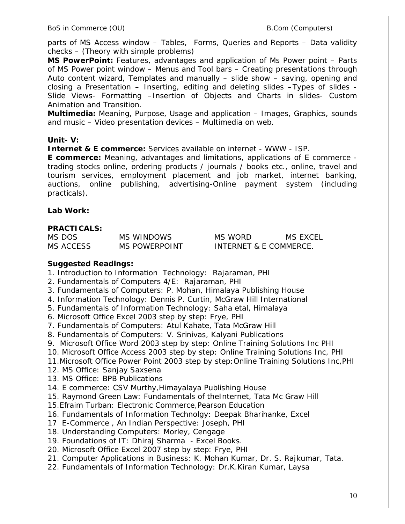parts of MS Access window – Tables, Forms, Queries and Reports – Data validity checks – (Theory with simple problems)

**MS PowerPoint:** Features, advantages and application of Ms Power point – Parts of MS Power point window – Menus and Tool bars – Creating presentations through Auto content wizard, Templates and manually – slide show – saving, opening and closing a Presentation – Inserting, editing and deleting slides –Types of slides - Slide Views- Formatting –Insertion of Objects and Charts in slides- Custom Animation and Transition.

**Multimedia:** Meaning, Purpose, Usage and application – Images, Graphics, sounds and music – Video presentation devices – Multimedia on web.

**Unit- V:**

**Internet & E commerce:** Services available on internet - WWW - ISP.

**E commerce:** Meaning, advantages and limitations, applications of E commerce trading stocks online, ordering products / journals / books etc., online, travel and tourism services, employment placement and job market, internet banking, auctions, online publishing, advertising-Online payment system (including practicals).

**Lab Work:** 

**PRACTICALS:**

| MS DOS    | MS WINDOWS           |
|-----------|----------------------|
| MS ACCESS | <b>MS POWERPOINT</b> |

MS WORD MS EXCEL INTERNET & E COMMERCE.

**Suggested Readings:**

- 1. Introduction to Information Technology: Rajaraman, PHI
- 2. Fundamentals of Computers 4/E: Rajaraman, PHI
- 3. Fundamentals of Computers: P. Mohan, Himalaya Publishing House
- 4. Information Technology: Dennis P. Curtin, McGraw Hill International
- 5. Fundamentals of Information Technology: Saha etal, Himalaya
- 6. Microsoft Office Excel 2003 step by step: Frye, PHI
- 7. Fundamentals of Computers: Atul Kahate, Tata McGraw Hill
- 8. Fundamentals of Computers: V. Srinivas, Kalyani Publications
- 9. Microsoft Office Word 2003 step by step: Online Training Solutions Inc PHI
- 10. Microsoft Office Access 2003 step by step: Online Training Solutions Inc, PHI
- 11.Microsoft Office Power Point 2003 step by step:Online Training Solutions Inc,PHI
- 12. MS Office: Sanjay Saxsena
- 13. MS Office: BPB Publications
- 14. E commerce: CSV Murthy,Himayalaya Publishing House
- 15. Raymond Green Law: Fundamentals of theInternet, Tata Mc Graw Hill
- 15.Efraim Turban: Electronic Commerce,Pearson Education
- 16. Fundamentals of Information Technolgy: Deepak Bharihanke, Excel
- 17 E-Commerce , An Indian Perspective: Joseph, PHI
- 18. Understanding Computers: Morley, Cengage
- 19. Foundations of IT: Dhiraj Sharma Excel Books.
- 20. Microsoft Office Excel 2007 step by step: Frye, PHI
- 21. Computer Applications in Business: K. Mohan Kumar, Dr. S. Rajkumar, Tata.
- 22. Fundamentals of Information Technology: Dr.K.Kiran Kumar, Laysa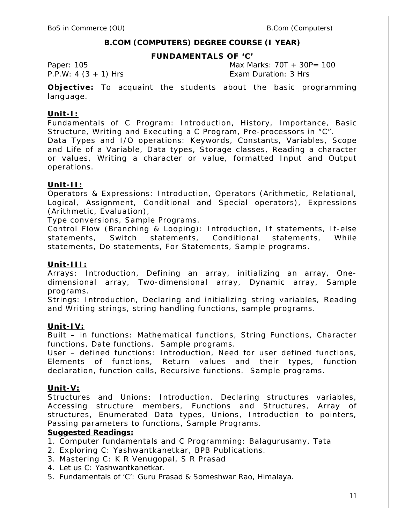# **B.COM (COMPUTERS) DEGREE COURSE (I YEAR)**

#### **FUNDAMENTALS OF 'C'**

Paper: 105 **Max Marks: 70T** + 30P= 100 P.P.W: 4 (3 + 1) Hrs Exam Duration: 3 Hrs

**Objective:** To acquaint the students about the basic programming language.

### **Unit-I:**

Fundamentals of C Program: Introduction, History, Importance, Basic Structure, Writing and Executing a C Program, Pre-processors in "C".

Data Types and I/O operations: Keywords, Constants, Variables, Scope and Life of a Variable, Data types, Storage classes, Reading a character or values, Writing a character or value, formatted Input and Output operations.

#### **Unit-II:**

Operators & Expressions: Introduction, Operators (Arithmetic, Relational, Logical, Assignment, Conditional and Special operators), Expressions (Arithmetic, Evaluation),

Type conversions, Sample Programs.

Control Flow (Branching & Looping): Introduction, If statements, If-else statements, Switch statements, Conditional statements, While statements, Do statements, For Statements, Sample programs.

#### **Unit-III:**

Arrays: Introduction, Defining an array, initializing an array, Onedimensional array, Two-dimensional array, Dynamic array, Sample programs.

Strings: Introduction, Declaring and initializing string variables, Reading and Writing strings, string handling functions, sample programs.

#### **Unit-IV:**

Built – in functions: Mathematical functions, String Functions, Character functions, Date functions. Sample programs.

User – defined functions: Introduction, Need for user defined functions, Elements of functions, Return values and their types, function declaration, function calls, Recursive functions. Sample programs.

#### **Unit-V:**

Structures and Unions: Introduction, Declaring structures variables, Accessing structure members, Functions and Structures, Array of structures, Enumerated Data types, Unions, Introduction to pointers, Passing parameters to functions, Sample Programs.

#### **Suggested Readings:**

- 1. Computer fundamentals and C Programming: Balagurusamy, Tata
- 2. Exploring C: Yashwantkanetkar, BPB Publications.
- 3. Mastering C: K R Venugopal, S R Prasad
- 4. Let us C: Yashwantkanetkar.
- 5. Fundamentals of 'C': Guru Prasad & Someshwar Rao, Himalaya.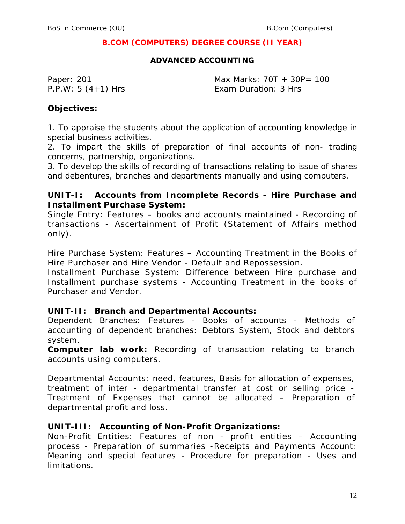# **B.COM (COMPUTERS) DEGREE COURSE (II YEAR)**

**ADVANCED ACCOUNTING**

Paper: 201 Max Marks: 70T + 30P= 100 P.P.W: 5 (4+1) Hrs Exam Duration: 3 Hrs

**Objectives:**

1. To appraise the students about the application of accounting knowledge in special business activities.

2. To impart the skills of preparation of final accounts of non- trading concerns, partnership, organizations.

3. To develop the skills of recording of transactions relating to issue of shares and debentures, branches and departments manually and using computers.

**UNIT-I: Accounts from Incomplete Records - Hire Purchase and Installment Purchase System:**

Single Entry: Features – books and accounts maintained - Recording of transactions - Ascertainment of Profit (Statement of Affairs method only).

Hire Purchase System: Features – Accounting Treatment in the Books of Hire Purchaser and Hire Vendor - Default and Repossession.

Installment Purchase System: Difference between Hire purchase and Installment purchase systems - Accounting Treatment in the books of Purchaser and Vendor.

**UNIT-II: Branch and Departmental Accounts:**

Dependent Branches: Features - Books of accounts - Methods of accounting of dependent branches: Debtors System, Stock and debtors system.

**Computer lab work:** Recording of transaction relating to branch accounts using computers.

Departmental Accounts: need, features, Basis for allocation of expenses, treatment of inter - departmental transfer at cost or selling price - Treatment of Expenses that cannot be allocated – Preparation of departmental profit and loss.

**UNIT-III: Accounting of Non-Profit Organizations:**

Non-Profit Entities: Features of non - profit entities – Accounting process - Preparation of summaries -Receipts and Payments Account: Meaning and special features - Procedure for preparation - Uses and limitations.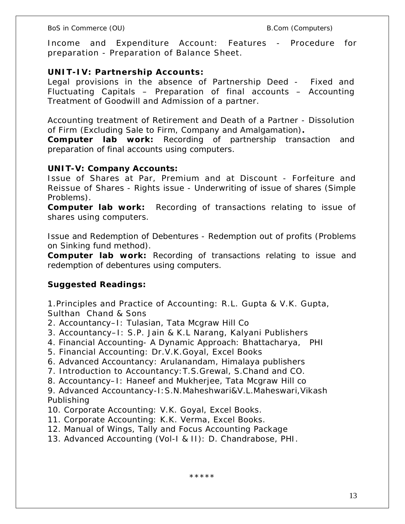BoS in Commerce (OU) example and the set of the B.Com (Computers)

Income and Expenditure Account: Features - Procedure for preparation - Preparation of Balance Sheet.

**UNIT-IV: Partnership Accounts:**

Legal provisions in the absence of Partnership Deed - Fixed and Fluctuating Capitals – Preparation of final accounts – Accounting Treatment of Goodwill and Admission of a partner.

Accounting treatment of Retirement and Death of a Partner - Dissolution of Firm (Excluding Sale to Firm, Company and Amalgamation)**.**

**Computer lab work:** Recording of partnership transaction and preparation of final accounts using computers.

**UNIT-V: Company Accounts:**

Issue of Shares at Par, Premium and at Discount - Forfeiture and Reissue of Shares - Rights issue - Underwriting of issue of shares (Simple Problems).

**Computer lab work:** Recording of transactions relating to issue of shares using computers.

Issue and Redemption of Debentures - Redemption out of profits (Problems on Sinking fund method).

**Computer lab work:** Recording of transactions relating to issue and redemption of debentures using computers.

**Suggested Readings:**

1.Principles and Practice of Accounting: R.L. Gupta & V.K. Gupta, Sulthan Chand & Sons

- 2. Accountancy–I: Tulasian, Tata Mcgraw Hill Co
- 3. Accountancy–I: S.P. Jain & K.L Narang, Kalyani Publishers
- 4. Financial Accounting- A Dynamic Approach: Bhattacharya, PHI
- 5. Financial Accounting: Dr.V.K.Goyal, Excel Books
- 6. Advanced Accountancy: Arulanandam, Himalaya publishers
- 7. Introduction to Accountancy:T.S.Grewal, S.Chand and CO.
- 8. Accountancy–I: Haneef and Mukherjee, Tata Mcgraw Hill co

9. Advanced Accountancy-I:S.N.Maheshwari&V.L.Maheswari,Vikash Publishing

- 10. Corporate Accounting: V.K. Goyal, Excel Books.
- 11. Corporate Accounting: K.K. Verma, Excel Books.
- 12. Manual of Wings, Tally and Focus Accounting Package
- 13. Advanced Accounting (Vol-I & II): D. Chandrabose, PHI.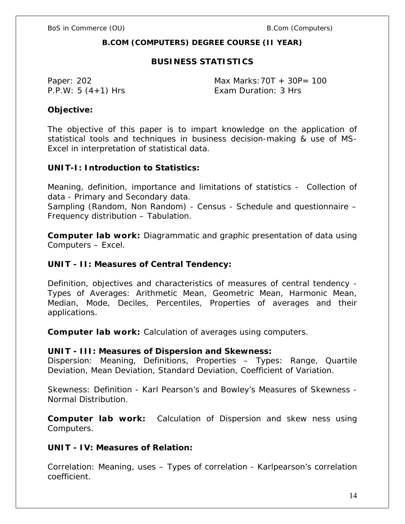**B.COM (COMPUTERS) DEGREE COURSE (II YEAR)**

# **BUSINESS STATISTICS**

Paper: 202 Max Marks: 70T + 30P= 100 P.P.W: 5 (4+1) Hrs Exam Duration: 3 Hrs

**Objective:**

The objective of this paper is to impart knowledge on the application of statistical tools and techniques in business decision-making & use of MS-Excel in interpretation of statistical data.

**UNIT-I: Introduction to Statistics:**

Meaning, definition, importance and limitations of statistics - Collection of data - Primary and Secondary data.

Sampling (Random, Non Random) - Census - Schedule and questionnaire – Frequency distribution – Tabulation.

**Computer lab work:** Diagrammatic and graphic presentation of data using Computers – Excel.

**UNIT - II: Measures of Central Tendency:**

Definition, objectives and characteristics of measures of central tendency - Types of Averages: Arithmetic Mean, Geometric Mean, Harmonic Mean, Median, Mode, Deciles, Percentiles, Properties of averages and their applications.

**Computer lab work:** Calculation of averages using computers.

**UNIT - III: Measures of Dispersion and Skewness:**

Dispersion: Meaning, Definitions, Properties – Types: Range, Quartile Deviation, Mean Deviation, Standard Deviation, Coefficient of Variation.

Skewness: Definition - Karl Pearson's and Bowley's Measures of Skewness - Normal Distribution.

**Computer lab work:** Calculation of Dispersion and skew ness using Computers.

**UNIT - IV: Measures of Relation:**

Correlation: Meaning, uses – Types of correlation - Karlpearson's correlation coefficient.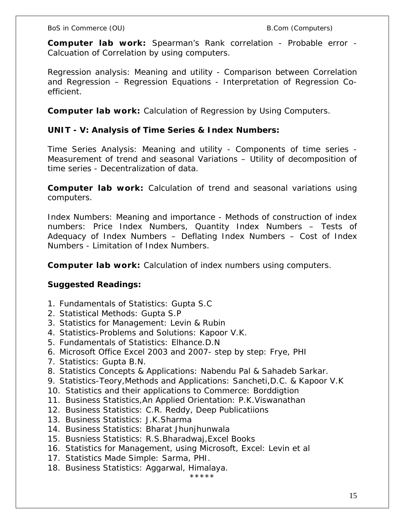**Computer lab work:** Spearman's Rank correlation - Probable error - Calcuation of Correlation by using computers.

Regression analysis: Meaning and utility - Comparison between Correlation and Regression – Regression Equations - Interpretation of Regression Coefficient.

**Computer lab work:** Calculation of Regression by Using Computers.

**UNIT - V: Analysis of Time Series & Index Numbers:**

Time Series Analysis: Meaning and utility - Components of time series - Measurement of trend and seasonal Variations – Utility of decomposition of time series - Decentralization of data.

**Computer lab work:** Calculation of trend and seasonal variations using computers.

Index Numbers: Meaning and importance - Methods of construction of index numbers: Price Index Numbers, Quantity Index Numbers – Tests of Adequacy of Index Numbers – Deflating Index Numbers – Cost of Index Numbers - Limitation of Index Numbers.

**Computer lab work:** Calculation of index numbers using computers.

**Suggested Readings:**

- 1. Fundamentals of Statistics: Gupta S.C
- 2. Statistical Methods: Gupta S.P
- 3. Statistics for Management: Levin & Rubin
- 4. Statistics-Problems and Solutions: Kapoor V.K.
- 5. Fundamentals of Statistics: Elhance.D.N
- 6. Microsoft Office Excel 2003 and 2007- step by step: Frye, PHI
- 7. Statistics: Gupta B.N.
- 8. Statistics Concepts & Applications: Nabendu Pal & Sahadeb Sarkar.
- 9. Statistics-Teory,Methods and Applications: Sancheti,D.C. & Kapoor V.K
- 10. Statistics and their applications to Commerce: Borddigtion
- 11. Business Statistics,An Applied Orientation: P.K.Viswanathan
- 12. Business Statistics: C.R. Reddy, Deep Publicatiions
- 13. Business Statistics: J.K.Sharma
- 14. Business Statistics: Bharat Jhunjhunwala
- 15. Busniess Statistics: R.S.Bharadwaj,Excel Books
- 16. Statistics for Management, using Microsoft, Excel: Levin et al
- 17. Statistics Made Simple: Sarma, PHI.
- 18. Business Statistics: Aggarwal, Himalaya.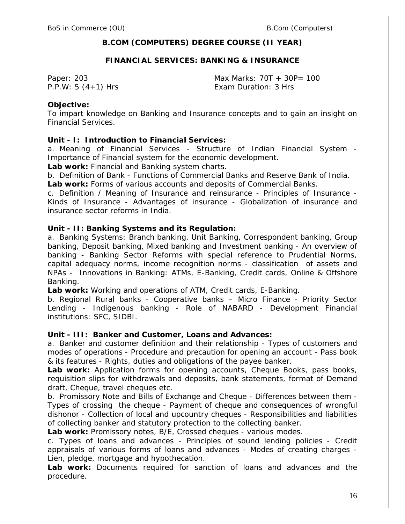# **B.COM (COMPUTERS) DEGREE COURSE (II YEAR)**

### **FINANCIAL SERVICES: BANKING & INSURANCE**

Paper: 203 **Max Marks: 70T** + 30P= 100 P.P.W: 5 (4+1) Hrs Exam Duration: 3 Hrs

#### **Objective:**

To impart knowledge on Banking and Insurance concepts and to gain an insight on Financial Services.

**Unit - I: Introduction to Financial Services:**

a. Meaning of Financial Services - Structure of Indian Financial System - Importance of Financial system for the economic development.

**Lab work:** Financial and Banking system charts.

b. Definition of Bank - Functions of Commercial Banks and Reserve Bank of India. **Lab work:** Forms of various accounts and deposits of Commercial Banks.

c. Definition / Meaning of Insurance and reinsurance - Principles of Insurance - Kinds of Insurance - Advantages of insurance - Globalization of insurance and insurance sector reforms in India.

**Unit - II: Banking Systems and its Regulation:** 

a. Banking Systems: Branch banking, Unit Banking, Correspondent banking, Group banking, Deposit banking, Mixed banking and Investment banking - An overview of banking - Banking Sector Reforms with special reference to Prudential Norms, capital adequacy norms, income recognition norms - classification of assets and NPAs - Innovations in Banking: ATMs, E-Banking, Credit cards, Online & Offshore Banking.

**Lab work:** Working and operations of ATM, Credit cards, E-Banking.

b. Regional Rural banks - Cooperative banks – Micro Finance - Priority Sector Lending - Indigenous banking - Role of NABARD - Development Financial institutions: SFC, SIDBI.

**Unit - III: Banker and Customer, Loans and Advances:**

a. Banker and customer definition and their relationship - Types of customers and modes of operations - Procedure and precaution for opening an account - Pass book & its features - Rights, duties and obligations of the payee banker.

**Lab work:** Application forms for opening accounts, Cheque Books, pass books, requisition slips for withdrawals and deposits, bank statements, format of Demand draft, Cheque, travel cheques etc.

b. Promissory Note and Bills of Exchange and Cheque - Differences between them - Types of crossing the cheque - Payment of cheque and consequences of wrongful dishonor - Collection of local and upcountry cheques - Responsibilities and liabilities of collecting banker and statutory protection to the collecting banker.

**Lab work:** Promissory notes, B/E, Crossed cheques - various modes.

c. Types of loans and advances - Principles of sound lending policies - Credit appraisals of various forms of loans and advances - Modes of creating charges - Lien, pledge, mortgage and hypothecation.

**Lab work:** Documents required for sanction of loans and advances and the procedure.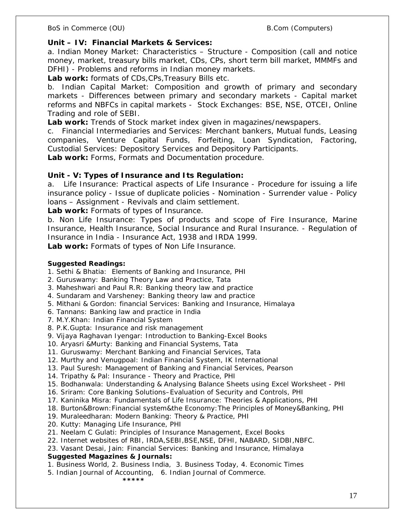**Unit – IV: Financial Markets & Services:**

a. Indian Money Market: Characteristics – Structure - Composition (call and notice money, market, treasury bills market, CDs, CPs, short term bill market, MMMFs and DFHI) - Problems and reforms in Indian money markets.

**Lab work:** formats of CDs,CPs,Treasury Bills etc.

b. Indian Capital Market: Composition and growth of primary and secondary markets - Differences between primary and secondary markets - Capital market reforms and NBFCs in capital markets - Stock Exchanges: BSE, NSE, OTCEI, Online Trading and role of SEBI.

**Lab work:** Trends of Stock market index given in magazines/newspapers.

c. Financial Intermediaries and Services: Merchant bankers, Mutual funds, Leasing companies, Venture Capital Funds, Forfeiting, Loan Syndication, Factoring, Custodial Services: Depository Services and Depository Participants.

**Lab work:** Forms, Formats and Documentation procedure.

**Unit - V: Types of Insurance and Its Regulation:**

a. Life Insurance: Practical aspects of Life Insurance - Procedure for issuing a life insurance policy - Issue of duplicate policies - Nomination - Surrender value - Policy loans – Assignment - Revivals and claim settlement.

**Lab work:** Formats of types of Insurance.

b. Non Life Insurance: Types of products and scope of Fire Insurance, Marine Insurance, Health Insurance, Social Insurance and Rural Insurance. - Regulation of Insurance in India - Insurance Act, 1938 and IRDA 1999.

**Lab work:** Formats of types of Non Life Insurance.

**Suggested Readings:**

1. Sethi & Bhatia: Elements of Banking and Insurance, PHI

- 2. Guruswamy: Banking Theory Law and Practice, Tata
- 3. Maheshwari and Paul R.R: Banking theory law and practice
- 4. Sundaram and Varsheney: Banking theory law and practice
- 5. Mithani & Gordon: financial Services: Banking and Insurance, Himalaya
- 6. Tannans: Banking law and practice in India
- 7. M.Y.Khan: Indian Financial System
- 8. P.K.Gupta: Insurance and risk management
- 9. Vijaya Raghavan Iyengar: Introduction to Banking-Excel Books
- 10. Aryasri &Murty: Banking and Financial Systems, Tata
- 11. Guruswamy: Merchant Banking and Financial Services, Tata
- 12. Murthy and Venugpoal: Indian Financial System, IK International
- 13. Paul Suresh: Management of Banking and Financial Services, Pearson
- 14. Tripathy & Pal: Insurance Theory and Practice, PHI
- 15. Bodhanwala: Understanding & Analysing Balance Sheets using Excel Worksheet PHI
- 16. Sriram: Core Banking Solutions–Evaluation of Security and Controls, PHI
- 17. Kaninika Misra: Fundamentals of Life Insurance: Theories & Applications, PHI
- 18. Burton&Brown:Financial system&the Economy:The Principles of Money&Banking, PHI
- 19. Muraleedharan: Modern Banking: Theory & Practice, PHI
- 20. Kutty: Managing Life Insurance, PHI
- 21. Neelam C Gulati: Principles of Insurance Management, Excel Books
- 22. Internet websites of RBI, IRDA,SEBI,BSE,NSE, DFHI, NABARD, SIDBI,NBFC.

23. Vasant Desai, Jain: Financial Services: Banking and Insurance, Himalaya **Suggested Magazines & Journals:**

- 1. Business World, 2. Business India, 3. Business Today, 4. Economic Times
- 5. Indian Journal of Accounting, 6. Indian Journal of Commerce.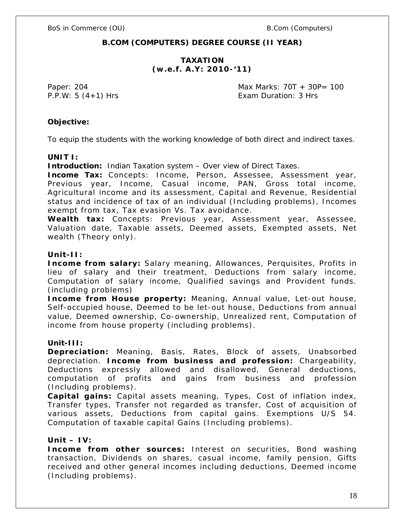# **B.COM (COMPUTERS) DEGREE COURSE (II YEAR)**

# **TAXATION** *(w.e.f. A.Y: 2010-'11)*

Paper: 204 Max Marks: 70T + 30P= 100 P.P.W: 5 (4+1) Hrs Exam Duration: 3 Hrs

**Objective:** 

To equip the students with the working knowledge of both direct and indirect taxes.

**UNIT I:** 

**Introduction:** Indian Taxation system – Over view of Direct Taxes.

**Income Tax:** Concepts: Income, Person, Assessee, Assessment year, Previous year, Income, Casual income, PAN, Gross total income, Agricultural income and its assessment, Capital and Revenue, Residential status and incidence of tax of an individual (Including problems), Incomes exempt from tax, Tax evasion Vs. Tax avoidance.

**Wealth tax:** Concepts: Previous year, Assessment year, Assessee, Valuation date, Taxable assets, Deemed assets, Exempted assets, Net wealth (Theory only).

#### **Unit-II:**

**Income from salary:** Salary meaning, Allowances, Perquisites, Profits in lieu of salary and their treatment, Deductions from salary income, Computation of salary income, Qualified savings and Provident funds. (including problems)

**Income from House property:** Meaning, Annual value, Let-out house, Self-occupied house, Deemed to be let-out house, Deductions from annual value, Deemed ownership, Co-ownership, Unrealized rent, Computation of income from house property (including problems).

#### **Unit-III:**

**Depreciation:** Meaning, Basis, Rates, Block of assets, Unabsorbed depreciation. **Income from business and profession:** Chargeability, Deductions expressly allowed and disallowed, General deductions, computation of profits and gains from business and profession (Including problems).

**Capital gains:** Capital assets meaning, Types, Cost of inflation index, Transfer types, Transfer not regarded as transfer, Cost of acquisition of various assets, Deductions from capital gains. Exemptions U/S 54. Computation of taxable capital Gains (Including problems).

**Unit – IV:**

**Income from other sources:** Interest on securities, Bond washing transaction, Dividends on shares, casual income, family pension, Gifts received and other general incomes including deductions, Deemed income (Including problems).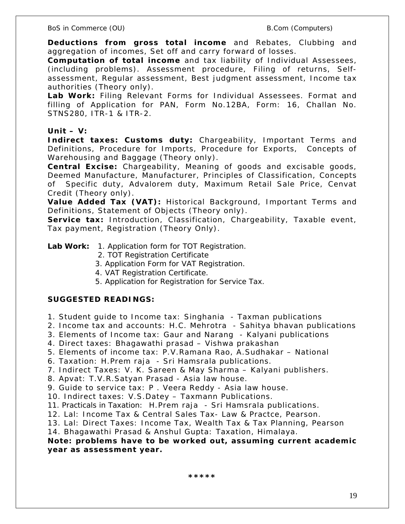**Deductions from gross total income** and Rebates, Clubbing and aggregation of incomes, Set off and carry forward of losses.

**Computation of total income** and tax liability of Individual Assessees, (including problems). Assessment procedure, Filing of returns, Selfassessment, Regular assessment, Best judgment assessment, Income tax authorities (Theory only).

**Lab Work:** Filing Relevant Forms for Individual Assessees. Format and filling of Application for PAN, Form No.12BA, Form: 16, Challan No. STNS280, ITR-1 & ITR-2.

# **Unit – V:**

**Indirect taxes: Customs duty:** Chargeability, Important Terms and Definitions, Procedure for Imports, Procedure for Exports, Concepts of Warehousing and Baggage (Theory only).

**Central Excise:** Chargeability, Meaning of goods and excisable goods, Deemed Manufacture, Manufacturer, Principles of Classification, Concepts of Specific duty, Advalorem duty, Maximum Retail Sale Price, Cenvat Credit (Theory only).

**Value Added Tax (VAT):** Historical Background, Important Terms and Definitions, Statement of Objects (Theory only).

**Service tax:** Introduction, Classification, Chargeability, Taxable event, Tax payment, Registration (Theory Only).

**Lab Work:** 1. Application form for TOT Registration.

- 2. TOT Registration Certificate
- 3. Application Form for VAT Registration.
- 4. VAT Registration Certificate.
- 5. Application for Registration for Service Tax.

# **SUGGESTED READINGS:**

- 1. Student guide to Income tax: Singhania Taxman publications
- 2. Income tax and accounts: H.C. Mehrotra Sahitya bhavan publications
- 3. Elements of Income tax: Gaur and Narang Kalyani publications
- 4. Direct taxes: Bhagawathi prasad Vishwa prakashan
- 5. Elements of income tax: P.V.Ramana Rao, A.Sudhakar National
- 6. Taxation: H.Prem raja Sri Hamsrala publications.
- 7. Indirect Taxes: V. K. Sareen & May Sharma Kalyani publishers.
- 8. Apvat: T.V.R.Satyan Prasad Asia law house.
- 9. Guide to service tax: P . Veera Reddy Asia law house.
- 10. Indirect taxes: V.S.Datey Taxmann Publications.
- 11. Practicals in Taxation: H.Prem raja Sri Hamsrala publications.
- 12. Lal: Income Tax & Central Sales Tax- Law & Practce, Pearson.
- 13. Lal: Direct Taxes: Income Tax, Wealth Tax & Tax Planning, Pearson
- 14. Bhagawathi Prasad & Anshul Gupta: Taxation, Himalaya.

*Note: problems have to be worked out, assuming current academic year as assessment year.*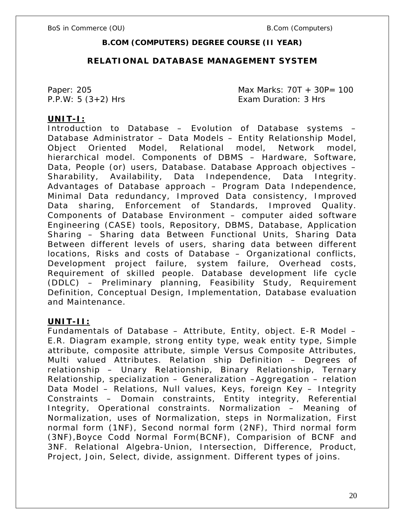# **B.COM (COMPUTERS) DEGREE COURSE (II YEAR)**

# **RELATIONAL DATABASE MANAGEMENT SYSTEM**

Paper: 205 Max Marks: 70T + 30P= 100 P.P.W: 5 (3+2) Hrs Exam Duration: 3 Hrs

# **UNIT-I:**

Introduction to Database – Evolution of Database systems – Database Administrator – Data Models – Entity Relationship Model, Object Oriented Model, Relational model, Network model, hierarchical model. Components of DBMS – Hardware, Software, Data, People (or) users, Database. Database Approach objectives – Sharability, Availability, Data Independence, Data Integrity. Advantages of Database approach – Program Data Independence, Minimal Data redundancy, Improved Data consistency, Improved Data sharing, Enforcement of Standards, Improved Quality. Components of Database Environment – computer aided software Engineering (CASE) tools, Repository, DBMS, Database, Application Sharing – Sharing data Between Functional Units, Sharing Data Between different levels of users, sharing data between different locations, Risks and costs of Database – Organizational conflicts, Development project failure, system failure, Overhead costs, Requirement of skilled people. Database development life cycle (DDLC) – Preliminary planning, Feasibility Study, Requirement Definition, Conceptual Design, Implementation, Database evaluation and Maintenance.

# **UNIT-II:**

Fundamentals of Database – Attribute, Entity, object. E-R Model – E.R. Diagram example, strong entity type, weak entity type, Simple attribute, composite attribute, simple Versus Composite Attributes, Multi valued Attributes. Relation ship Definition – Degrees of relationship – Unary Relationship, Binary Relationship, Ternary Relationship, specialization – Generalization –Aggregation – relation Data Model – Relations, Null values, Keys, foreign Key – Integrity Constraints – Domain constraints, Entity integrity, Referential Integrity, Operational constraints. Normalization – Meaning of Normalization, uses of Normalization, steps in Normalization, First normal form (1NF), Second normal form (2NF), Third normal form (3NF),Boyce Codd Normal Form(BCNF), Comparision of BCNF and 3NF. Relational Algebra-Union, Intersection, Difference, Product, Project, Join, Select, divide, assignment. Different types of joins.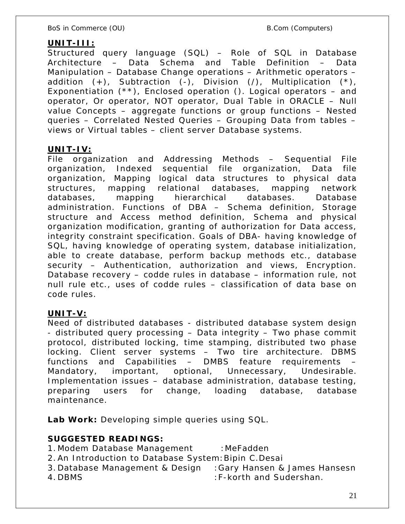# **UNIT-III:**

Structured query language (SQL) – Role of SQL in Database Architecture – Data Schema and Table Definition – Data Manipulation – Database Change operations – Arithmetic operators – addition  $(+)$ , Subtraction  $(-)$ , Division  $(')$ , Multiplication  $(*)$ , Exponentiation  $(**)$ , Enclosed operation (). Logical operators – and operator, Or operator, NOT operator, Dual Table in ORACLE – Null value Concepts – aggregate functions or group functions – Nested queries – Correlated Nested Queries – Grouping Data from tables – views or Virtual tables – client server Database systems.

# **UNIT-IV:**

File organization and Addressing Methods – Sequential File organization, Indexed sequential file organization, Data file organization, Mapping logical data structures to physical data structures, mapping relational databases, mapping network databases, mapping hierarchical databases. Database administration. Functions of DBA – Schema definition, Storage structure and Access method definition, Schema and physical organization modification, granting of authorization for Data access, integrity constraint specification. Goals of DBA- having knowledge of SQL, having knowledge of operating system, database initialization, able to create database, perform backup methods etc., database security – Authentication, authorization and views, Encryption. Database recovery – codde rules in database – information rule, not null rule etc., uses of codde rules – classification of data base on code rules.

# **UNIT-V:**

Need of distributed databases - distributed database system design - distributed query processing – Data integrity – Two phase commit protocol, distributed locking, time stamping, distributed two phase locking. Client server systems – Two tire architecture. DBMS functions and Capabilities – DMBS feature requirements Mandatory, important, optional, Unnecessary, Undesirable. Implementation issues – database administration, database testing, preparing users for change, loading database, database maintenance.

**Lab Work:** Developing simple queries using SQL.

# **SUGGESTED READINGS:**

- 1. Modem Database Management : MeFadden
- 2. An Introduction to Database System:Bipin C.Desai
- 3. Database Management & Design :Gary Hansen & James Hansesn
- 
- 4. DBMS :F-korth and Sudershan.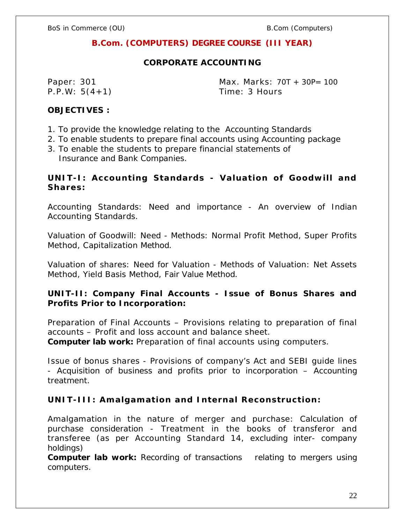# **B.Com. (COMPUTERS) DEGREE COURSE (III YEAR)**

# **CORPORATE ACCOUNTING**

P.P.W: 5(4+1) Time: 3 Hours

Paper: 301 Max. Marks: 70T + 30P= 100

**OBJECTIVES :**

- 1. To provide the knowledge relating to the Accounting Standards
- 2. To enable students to prepare final accounts using Accounting package
- 3. To enable the students to prepare financial statements of Insurance and Bank Companies.

UNIT-I: Accounting Standards - Valuation of Goodwill and **Shares:**

Accounting Standards: Need and importance - An overview of Indian Accounting Standards.

Valuation of Goodwill: Need - Methods: Normal Profit Method, Super Profits Method, Capitalization Method.

Valuation of shares: Need for Valuation - Methods of Valuation: Net Assets Method, Yield Basis Method, Fair Value Method.

**UNIT-II: Company Final Accounts - Issue of Bonus Shares and Profits Prior to Incorporation:** 

Preparation of Final Accounts – Provisions relating to preparation of final accounts – Profit and loss account and balance sheet. **Computer lab work:** Preparation of final accounts using computers.

Issue of bonus shares - Provisions of company's Act and SEBI guide lines - Acquisition of business and profits prior to incorporation – Accounting treatment.

**UNIT-III: Amalgamation and Internal Reconstruction:**

Amalgamation in the nature of merger and purchase: Calculation of purchase consideration - Treatment in the books of transferor and transferee (as per Accounting Standard 14, excluding inter- company holdings)

**Computer lab work:** Recording of transactions relating to mergers using computers.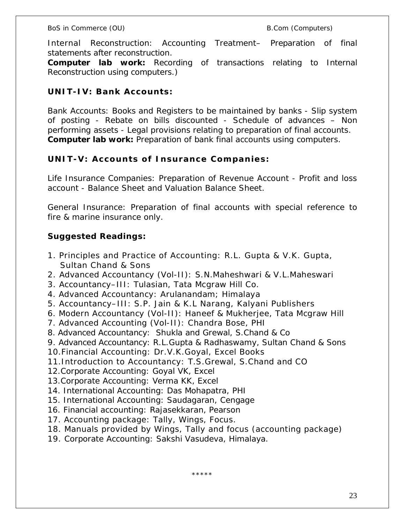Internal Reconstruction: Accounting Treatment– Preparation of final statements after reconstruction.

**Computer lab work:** Recording of transactions relating to Internal Reconstruction using computers.)

**UNIT-IV: Bank Accounts:**

Bank Accounts: Books and Registers to be maintained by banks - Slip system of posting - Rebate on bills discounted - Schedule of advances – Non performing assets - Legal provisions relating to preparation of final accounts. **Computer lab work:** Preparation of bank final accounts using computers.

UNIT-V: Accounts of Insurance Companies:

Life Insurance Companies: Preparation of Revenue Account - Profit and loss account - Balance Sheet and Valuation Balance Sheet.

General Insurance: Preparation of final accounts with special reference to fire & marine insurance only.

**Suggested Readings:**

- 1. Principles and Practice of Accounting: R.L. Gupta & V.K. Gupta, Sultan Chand & Sons
- 2. Advanced Accountancy (Vol-II): S.N.Maheshwari & V.L.Maheswari
- 3. Accountancy–III: Tulasian, Tata Mcgraw Hill Co.
- 4. Advanced Accountancy: Arulanandam; Himalaya
- 5. Accountancy–III: S.P. Jain & K.L Narang, Kalyani Publishers
- 6. Modern Accountancy (Vol-II): Haneef & Mukherjee, Tata Mcgraw Hill
- 7. Advanced Accounting (Vol-II): Chandra Bose, PHI
- 8. Advanced Accountancy: Shukla and Grewal, S.Chand & Co
- 9. Advanced Accountancy: R.L.Gupta & Radhaswamy, Sultan Chand & Sons
- 10.Financial Accounting: Dr.V.K.Goyal, Excel Books
- 11.Introduction to Accountancy: T.S.Grewal, S.Chand and CO
- 12.Corporate Accounting: Goyal VK, Excel
- 13.Corporate Accounting: Verma KK, Excel
- 14. International Accounting: Das Mohapatra, PHI
- 15. International Accounting: Saudagaran, Cengage
- 16. Financial accounting: Rajasekkaran, Pearson
- 17. Accounting package: Tally, Wings, Focus.
- 18. Manuals provided by Wings, Tally and focus (accounting package)
- 19. Corporate Accounting: Sakshi Vasudeva, Himalaya.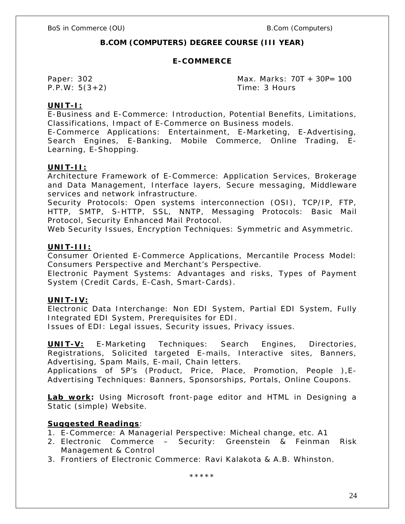# **B.COM (COMPUTERS) DEGREE COURSE (III YEAR)**

### **E-COMMERCE**

P.P.W: 5(3+2) Time: 3 Hours

Paper: 302 Max. Marks: 70T + 30P= 100

# **UNIT-I:**

E-Business and E-Commerce: Introduction, Potential Benefits, Limitations, Classifications, Impact of E-Commerce on Business models.

E-Commerce Applications: Entertainment, E-Marketing, E-Advertising, Search Engines, E-Banking, Mobile Commerce, Online Trading, E-Learning, E-Shopping.

#### **UNIT-II:**

Architecture Framework of E-Commerce: Application Services, Brokerage and Data Management, Interface layers, Secure messaging, Middleware services and network infrastructure.

Security Protocols: Open systems interconnection (OSI), TCP/IP, FTP, HTTP, SMTP, S-HTTP, SSL, NNTP, Messaging Protocols: Basic Mail Protocol, Security Enhanced Mail Protocol.

Web Security Issues, Encryption Techniques: Symmetric and Asymmetric.

## **UNIT-III:**

Consumer Oriented E-Commerce Applications, Mercantile Process Model: Consumers Perspective and Merchant's Perspective.

Electronic Payment Systems: Advantages and risks, Types of Payment System (Credit Cards, E-Cash, Smart-Cards).

#### **UNIT-IV:**

Electronic Data Interchange: Non EDI System, Partial EDI System, Fully Integrated EDI System, Prerequisites for EDI.

Issues of EDI: Legal issues, Security issues, Privacy issues.

**UNIT-V:** E-Marketing Techniques: Search Engines, Directories, Registrations, Solicited targeted E-mails, Interactive sites, Banners, Advertising, Spam Mails, E-mail, Chain letters.

Applications of 5P's (Product, Price, Place, Promotion, People ),E-Advertising Techniques: Banners, Sponsorships, Portals, Online Coupons.

**Lab work:** Using Microsoft front-page editor and HTML in Designing a Static (simple) Website.

## **Suggested Readings**:

- 1. E-Commerce: A Managerial Perspective: Micheal change, etc. A1
- 2. Electronic Commerce Security: Greenstein & Feinman Risk Management & Control
- 3. Frontiers of Electronic Commerce: Ravi Kalakota & A.B. Whinston.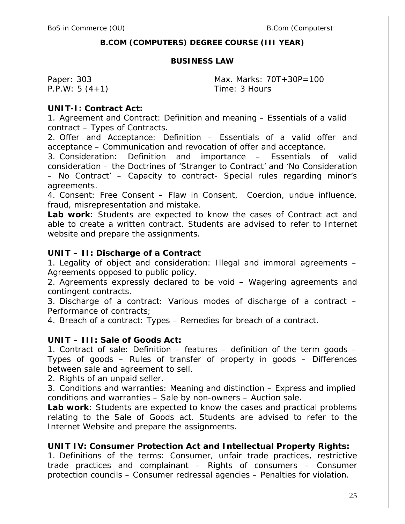# **B.COM (COMPUTERS) DEGREE COURSE (III YEAR)**

#### **BUSINESS LAW**

P.P.W: 5 (4+1) Time: 3 Hours

Paper: 303 Max. Marks: 70T+30P=100

**UNIT-I: Contract Act:**

1. Agreement and Contract: Definition and meaning – Essentials of a valid contract – Types of Contracts.

2. Offer and Acceptance: Definition – Essentials of a valid offer and acceptance – Communication and revocation of offer and acceptance.

3. Consideration: Definition and importance – Essentials of valid consideration – the Doctrines of 'Stranger to Contract' and 'No Consideration – No Contract' – Capacity to contract- Special rules regarding minor's agreements.

4. Consent: Free Consent – Flaw in Consent, Coercion, undue influence, fraud, misrepresentation and mistake.

**Lab work**: Students are expected to know the cases of Contract act and able to create a written contract. Students are advised to refer to Internet website and prepare the assignments.

**UNIT – II: Discharge of a Contract**

1. Legality of object and consideration: Illegal and immoral agreements – Agreements opposed to public policy.

2. Agreements expressly declared to be void – Wagering agreements and contingent contracts.

3. Discharge of a contract: Various modes of discharge of a contract – Performance of contracts;

4. Breach of a contract: Types – Remedies for breach of a contract.

**UNIT – III: Sale of Goods Act:**

1. Contract of sale: Definition – features – definition of the term goods – Types of goods – Rules of transfer of property in goods – Differences between sale and agreement to sell.

2. Rights of an unpaid seller.

3. Conditions and warranties: Meaning and distinction – Express and implied conditions and warranties – Sale by non-owners – Auction sale.

**Lab work**: Students are expected to know the cases and practical problems relating to the Sale of Goods act. Students are advised to refer to the Internet Website and prepare the assignments.

**UNIT IV: Consumer Protection Act and Intellectual Property Rights:** 1. Definitions of the terms: Consumer, unfair trade practices, restrictive trade practices and complainant – Rights of consumers – Consumer protection councils – Consumer redressal agencies – Penalties for violation.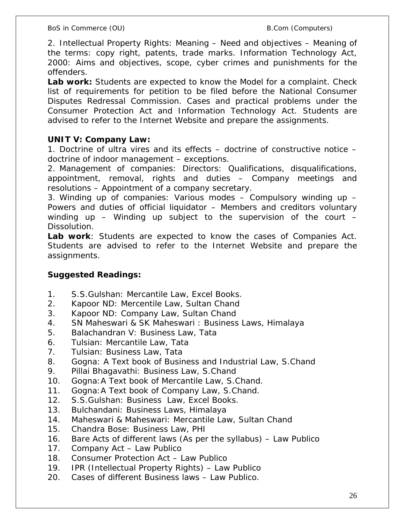2. Intellectual Property Rights: Meaning – Need and objectives – Meaning of the terms: copy right, patents, trade marks. Information Technology Act, 2000: Aims and objectives, scope, cyber crimes and punishments for the offenders.

**Lab work:** Students are expected to know the Model for a complaint. Check list of requirements for petition to be filed before the National Consumer Disputes Redressal Commission. Cases and practical problems under the Consumer Protection Act and Information Technology Act. Students are advised to refer to the Internet Website and prepare the assignments.

# **UNIT V: Company Law:**

1. Doctrine of ultra vires and its effects – doctrine of constructive notice – doctrine of indoor management – exceptions.

2. Management of companies: Directors: Qualifications, disqualifications, appointment, removal, rights and duties – Company meetings and resolutions – Appointment of a company secretary.

3. Winding up of companies: Various modes – Compulsory winding up – Powers and duties of official liquidator – Members and creditors voluntary winding up – Winding up subject to the supervision of the court – Dissolution.

**Lab work**: Students are expected to know the cases of Companies Act. Students are advised to refer to the Internet Website and prepare the assignments.

**Suggested Readings:**

- 1. S.S.Gulshan: Mercantile Law, Excel Books.
- 2. Kapoor ND: Mercentile Law, Sultan Chand
- 3. Kapoor ND: Company Law, Sultan Chand
- 4. SN Maheswari & SK Maheswari : Business Laws, Himalaya
- 5. Balachandran V: Business Law, Tata
- 6. Tulsian: Mercantile Law, Tata
- 7. Tulsian: Business Law, Tata
- 8. Gogna: A Text book of Business and Industrial Law, S.Chand
- 9. Pillai Bhagavathi: Business Law, S.Chand
- 10. Gogna:A Text book of Mercantile Law, S.Chand.
- 11. Gogna:A Text book of Company Law, S.Chand.
- 12. S.S.Gulshan: Business Law, Excel Books.
- 13. Bulchandani: Business Laws, Himalaya
- 14. Maheswari & Maheswari: Mercantile Law, Sultan Chand
- 15. Chandra Bose: Business Law, PHI
- 16. Bare Acts of different laws (As per the syllabus) Law Publico
- 17. Company Act Law Publico
- 18. Consumer Protection Act Law Publico
- 19. IPR (Intellectual Property Rights) Law Publico
- 20. Cases of different Business laws Law Publico.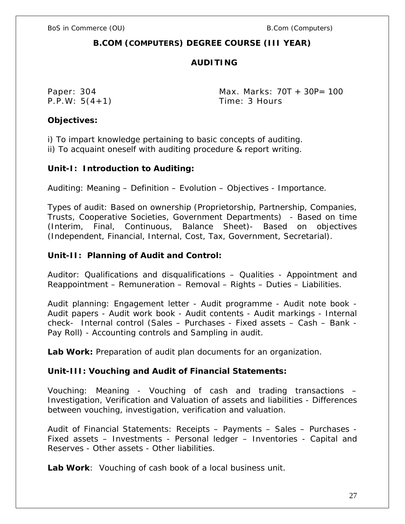# **B.COM (COMPUTERS) DEGREE COURSE (III YEAR)**

# **AUDITING**

Paper: 304 Max. Marks: 70T + 30P= 100 P.P.W: 5(4+1) Time: 3 Hours

**Objectives:**

i) To impart knowledge pertaining to basic concepts of auditing. ii) To acquaint oneself with auditing procedure & report writing.

**Unit-I: Introduction to Auditing:**

Auditing: Meaning – Definition – Evolution – Objectives - Importance.

Types of audit: Based on ownership (Proprietorship, Partnership, Companies, Trusts, Cooperative Societies, Government Departments) - Based on time (Interim, Final, Continuous, Balance Sheet)- Based on objectives (Independent, Financial, Internal, Cost, Tax, Government, Secretarial).

**Unit-II: Planning of Audit and Control:**

Auditor: Qualifications and disqualifications – Qualities - Appointment and Reappointment – Remuneration – Removal – Rights – Duties – Liabilities.

Audit planning: Engagement letter - Audit programme - Audit note book - Audit papers - Audit work book - Audit contents - Audit markings - Internal check- Internal control (Sales – Purchases - Fixed assets – Cash – Bank - Pay Roll) - Accounting controls and Sampling in audit.

**Lab Work:** Preparation of audit plan documents for an organization.

**Unit-III: Vouching and Audit of Financial Statements:**

Vouching: Meaning - Vouching of cash and trading transactions – Investigation, Verification and Valuation of assets and liabilities - Differences between vouching, investigation, verification and valuation.

Audit of Financial Statements: Receipts – Payments – Sales – Purchases - Fixed assets – Investments - Personal ledger – Inventories - Capital and Reserves - Other assets - Other liabilities.

**Lab Work**: Vouching of cash book of a local business unit.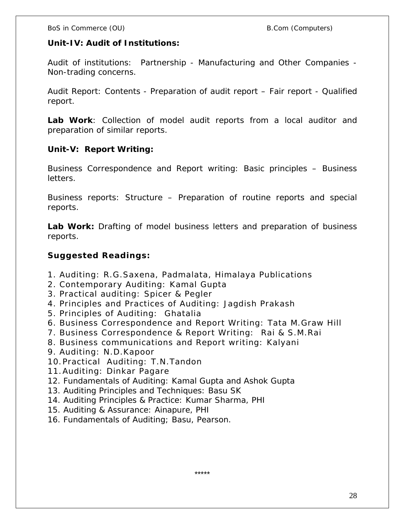**Unit-IV: Audit of Institutions:**

Audit of institutions: Partnership - Manufacturing and Other Companies - Non-trading concerns.

Audit Report: Contents - Preparation of audit report – Fair report - Qualified report.

**Lab Work**: Collection of model audit reports from a local auditor and preparation of similar reports.

**Unit-V: Report Writing:** 

Business Correspondence and Report writing: Basic principles – Business letters.

Business reports: Structure – Preparation of routine reports and special reports.

**Lab Work:** Drafting of model business letters and preparation of business reports.

**Suggested Readings:**

- 1. Auditing: R.G.Saxena, Padmalata, Himalaya Publications
- 2. Contemporary Auditing: Kamal Gupta
- 3. Practical auditing: Spicer & Pegler
- 4. Principles and Practices of Auditing: Jagdish Prakash
- 5. Principles of Auditing: Ghatalia
- 6. Business Correspondence and Report Writing: Tata M.Graw Hill
- 7. Business Correspondence & Report Writing: Rai & S.M.Rai
- 8. Business communications and Report writing: Kalyani
- 9. Auditing: N.D.Kapoor
- 10.Practical Auditing: T.N.Tandon
- 11.Auditing: Dinkar Pagare
- 12. Fundamentals of Auditing: Kamal Gupta and Ashok Gupta
- 13. Auditing Principles and Techniques: Basu SK
- 14. Auditing Principles & Practice: Kumar Sharma, PHI
- 15. Auditing & Assurance: Ainapure, PHI
- 16. Fundamentals of Auditing; Basu, Pearson.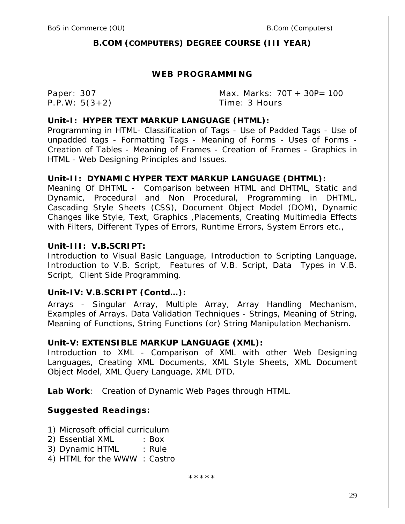# **B.COM (COMPUTERS) DEGREE COURSE (III YEAR)**

# **WEB PROGRAMMING**

Paper: 307 Max. Marks: 70T + 30P= 100 P.P.W: 5(3+2) Time: 3 Hours

### **Unit-I: HYPER TEXT MARKUP LANGUAGE (HTML):**

Programming in HTML- Classification of Tags - Use of Padded Tags - Use of unpadded tags - Formatting Tags - Meaning of Forms - Uses of Forms - Creation of Tables - Meaning of Frames - Creation of Frames - Graphics in HTML - Web Designing Principles and Issues.

## **Unit-II: DYNAMIC HYPER TEXT MARKUP LANGUAGE (DHTML):**

Meaning Of DHTML - Comparison between HTML and DHTML, Static and Dynamic, Procedural and Non Procedural, Programming in DHTML, Cascading Style Sheets (CSS), Document Object Model (DOM), Dynamic Changes like Style, Text, Graphics ,Placements, Creating Multimedia Effects with Filters, Different Types of Errors, Runtime Errors, System Errors etc.,

## **Unit-III: V.B.SCRIPT:**

Introduction to Visual Basic Language, Introduction to Scripting Language, Introduction to V.B. Script, Features of V.B. Script, Data Types in V.B. Script, Client Side Programming.

# **Unit-IV: V.B.SCRIPT (Contd…):**

Arrays - Singular Array, Multiple Array, Array Handling Mechanism, Examples of Arrays. Data Validation Techniques - Strings, Meaning of String, Meaning of Functions, String Functions (or) String Manipulation Mechanism.

# **Unit-V: EXTENSIBLE MARKUP LANGUAGE (XML):**

Introduction to XML - Comparison of XML with other Web Designing Languages, Creating XML Documents, XML Style Sheets, XML Document Object Model, XML Query Language, XML DTD.

**Lab Work**: Creation of Dynamic Web Pages through HTML.

**Suggested Readings:**

- 1) Microsoft official curriculum
- 2) Essential XML : Box
- 3) Dynamic HTML : Rule
- 4) HTML for the WWW : Castro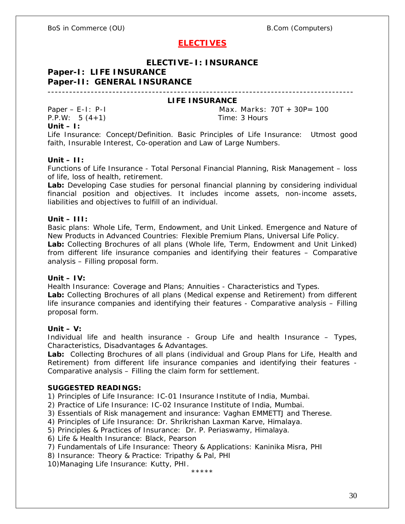# **ELECTIVES**

# **ELECTIVE–I: INSURANCE**

# **Paper-I: LIFE INSURANCE**

# **Paper-II: GENERAL INSURANCE**

-------------------------------------------------------------------------------------

#### **LIFE INSURANCE**

P.P.W: 5 (4+1) Time: 3 Hours **Unit – I:**

Paper – E-I: P-I Max. Marks: 70T + 30P= 100

Life Insurance: Concept/Definition. Basic Principles of Life Insurance: Utmost good faith, Insurable Interest, Co-operation and Law of Large Numbers.

#### **Unit – II:**

Functions of Life Insurance - Total Personal Financial Planning, Risk Management – loss of life, loss of health, retirement.

**Lab:** Developing Case studies for personal financial planning by considering individual financial position and objectives. It includes income assets, non-income assets, liabilities and objectives to fulfill of an individual.

#### **Unit – III:**

Basic plans: Whole Life, Term, Endowment, and Unit Linked. Emergence and Nature of New Products in Advanced Countries: Flexible Premium Plans, Universal Life Policy. **Lab:** Collecting Brochures of all plans (Whole life, Term, Endowment and Unit Linked) from different life insurance companies and identifying their features – Comparative analysis – Filling proposal form.

#### **Unit – IV:**

Health Insurance: Coverage and Plans; Annuities - Characteristics and Types.

**Lab:** Collecting Brochures of all plans (Medical expense and Retirement) from different life insurance companies and identifying their features - Comparative analysis – Filling proposal form.

#### **Unit – V:**

Individual life and health insurance - Group Life and health Insurance – Types, Characteristics, Disadvantages & Advantages.

**Lab:** Collecting Brochures of all plans (individual and Group Plans for Life, Health and Retirement) from different life insurance companies and identifying their features - Comparative analysis – Filling the claim form for settlement.

#### **SUGGESTED READINGS:**

1) Principles of Life Insurance: IC-01 Insurance Institute of India, Mumbai.

- 2) Practice of Life Insurance: IC-02 Insurance Institute of India, Mumbai.
- 3) Essentials of Risk management and insurance: Vaghan EMMETTJ and Therese.
- 4) Principles of Life Insurance: Dr. Shrikrishan Laxman Karve, Himalaya.

5) Principles & Practices of Insurance: Dr. P. Periaswamy, Himalaya.

- 6) Life & Health Insurance: Black, Pearson
- 7) Fundamentals of Life Insurance: Theory & Applications: Kaninika Misra, PHI
- 8) Insurance: Theory & Practice: Tripathy & Pal, PHI

10)Managing Life Insurance: Kutty, PHI.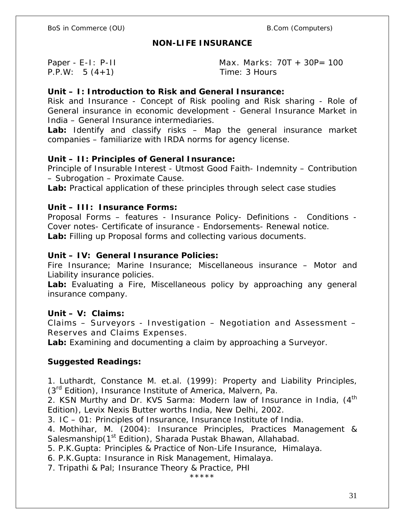# **NON-LIFE INSURANCE**

P.P.W: 5 (4+1) Time: 3 Hours

Paper - E-I: P-II Max. Marks: 70T + 30P= 100

**Unit – I: Introduction to Risk and General Insurance:**

Risk and Insurance - Concept of Risk pooling and Risk sharing - Role of General insurance in economic development - General Insurance Market in India – General Insurance intermediaries.

**Lab:** Identify and classify risks – Map the general insurance market companies – familiarize with IRDA norms for agency license.

**Unit – II: Principles of General Insurance:** 

Principle of Insurable Interest - Utmost Good Faith- Indemnity – Contribution – Subrogation – Proximate Cause.

**Lab:** Practical application of these principles through select case studies

**Unit – III: Insurance Forms:**

Proposal Forms – features - Insurance Policy- Definitions - Conditions - Cover notes- Certificate of insurance - Endorsements- Renewal notice. **Lab:** Filling up Proposal forms and collecting various documents.

**Unit – IV: General Insurance Policies:** 

Fire Insurance; Marine Insurance; Miscellaneous insurance – Motor and Liability insurance policies.

**Lab:** Evaluating a Fire, Miscellaneous policy by approaching any general insurance company.

**Unit – V: Claims:** 

Claims – Surveyors - Investigation – Negotiation and Assessment – Reserves and Claims Expenses.

**Lab:** Examining and documenting a claim by approaching a Surveyor.

**Suggested Readings:**

1. Luthardt, Constance M. et.al. (1999): *Property and Liability Principles,* (3<sup>rd</sup> Edition), Insurance Institute of America, Malvern, Pa.

2. KSN Murthy and Dr. KVS Sarma: *Modern law of Insurance in India,* (4th Edition), Levix Nexis Butter worths India, New Delhi, 2002.

3. IC – 01: Principles of Insurance, Insurance Institute of India.

4. Mothihar, M. (2004): Insurance Principles, Practices Management & Salesmanship(1<sup>st</sup> Edition), Sharada Pustak Bhawan, Allahabad.

5. P.K.Gupta: Principles & Practice of Non-Life Insurance, Himalaya.

6. P.K.Gupta: Insurance in Risk Management, Himalaya.

7. Tripathi & Pal; Insurance Theory & Practice, PHI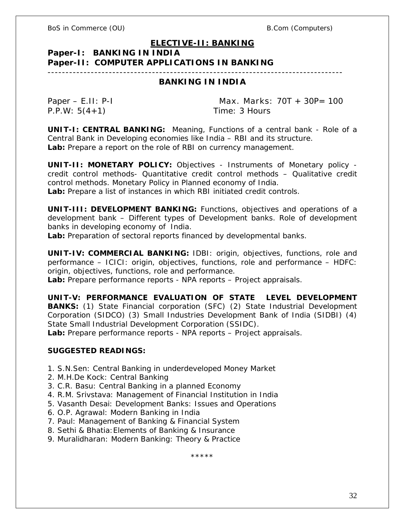# **ELECTIVE-II: BANKING**

# **Paper-I: BANKING IN INDIA**

# **Paper-II: COMPUTER APPLICATIONS IN BANKING**

# ----------------------------------------------------------------------------------

# **BANKING IN INDIA**

P.P.W: 5(4+1) Time: 3 Hours

Paper – E.II: P-I Max. Marks: 70T + 30P= 100

**UNIT-I: CENTRAL BANKING:** Meaning, Functions of a central bank - Role of a Central Bank in Developing economies like India – RBI and its structure. **Lab:** Prepare a report on the role of RBI on currency management.

**UNIT-II: MONETARY POLICY:** Objectives - Instruments of Monetary policy credit control methods- Quantitative credit control methods – Qualitative credit control methods. Monetary Policy in Planned economy of India.

**Lab:** Prepare a list of instances in which RBI initiated credit controls.

**UNIT-III: DEVELOPMENT BANKING:** Functions, objectives and operations of a development bank – Different types of Development banks. Role of development banks in developing economy of India.

**Lab:** Preparation of sectoral reports financed by developmental banks.

**UNIT-IV: COMMERCIAL BANKING:** IDBI: origin, objectives, functions, role and performance – ICICI: origin, objectives, functions, role and performance – HDFC: origin, objectives, functions, role and performance.

**Lab:** Prepare performance reports - NPA reports – Project appraisals.

**UNIT-V: PERFORMANCE EVALUATION OF STATE LEVEL DEVELOPMENT BANKS:** (1) State Financial corporation (SFC) (2) State Industrial Development Corporation (SIDCO) (3) Small Industries Development Bank of India (SIDBI) (4) State Small Industrial Development Corporation (SSIDC).

**Lab:** Prepare performance reports - NPA reports – Project appraisals.

## **SUGGESTED READINGS:**

- 1. S.N.Sen: Central Banking in underdeveloped Money Market
- 2. M.H.De Kock: Central Banking
- 3. C.R. Basu: Central Banking in a planned Economy
- 4. R.M. Srivstava: Management of Financial Institution in India
- 5. Vasanth Desai: Development Banks: Issues and Operations
- 6. O.P. Agrawal: Modern Banking in India
- 7. Paul: Management of Banking & Financial System
- 8. Sethi & Bhatia:Elements of Banking & Insurance
- 9. Muralidharan: Modern Banking: Theory & Practice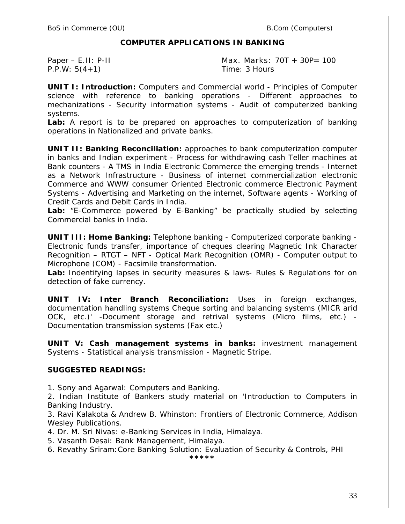#### **COMPUTER APPLICATIONS IN BANKING**

P.P.W: 5(4+1) Time: 3 Hours

Paper – E.II: P-II **Max. Marks: 70T** + 30P= 100

**UNIT I: Introduction:** Computers and Commercial world - Principles of Computer science with reference to banking operations - Different approaches to mechanizations - Security information systems - Audit of computerized banking systems.

**Lab:** A report is to be prepared on approaches to computerization of banking operations in Nationalized and private banks.

**UNIT II: Banking Reconciliation:** approaches to bank computerization computer in banks and Indian experiment - Process for withdrawing cash Teller machines at Bank counters - A TMS in India Electronic Commerce the emerging trends - Internet as a Network Infrastructure - Business of internet commercialization electronic Commerce and WWW consumer Oriented Electronic commerce Electronic Payment Systems - Advertising and Marketing on the internet, Software agents - Working of Credit Cards and Debit Cards in India.

**Lab:** "E-Commerce powered by E-Banking" be practically studied by selecting Commercial banks in India.

**UNIT III: Home Banking:** Telephone banking - Computerized corporate banking - Electronic funds transfer, importance of cheques clearing Magnetic Ink Character Recognition – RTGT – NFT - Optical Mark Recognition (OMR) - Computer output to Microphone (COM) - Facsimile transformation.

**Lab:** Indentifying lapses in security measures & laws- Rules & Regulations for on detection of fake currency.

**UNIT IV: Inter Branch Reconciliation:** Uses in foreign exchanges, documentation handling systems Cheque sorting and balancing systems (MICR arid OCK, etc.)' -Document storage and retrival systems (Micro films, etc.) - Documentation transmission systems (Fax etc.)

**UNIT V: Cash management systems in banks:** investment management Systems - Statistical analysis transmission - Magnetic Stripe.

**SUGGESTED READINGS:**

1. Sony and Agarwal: Computers and Banking.

2. Indian Institute of Bankers study material on 'Introduction to Computers in Banking Industry.

3. Ravi Kalakota & Andrew B. Whinston: Frontiers of Electronic Commerce, Addison Wesley Publications.

4. Dr. M. Sri Nivas: e-Banking Services in India, Himalaya.

5. Vasanth Desai: Bank Management, Himalaya.

6. Revathy Sriram:Core Banking Solution: Evaluation of Security & Controls, PHI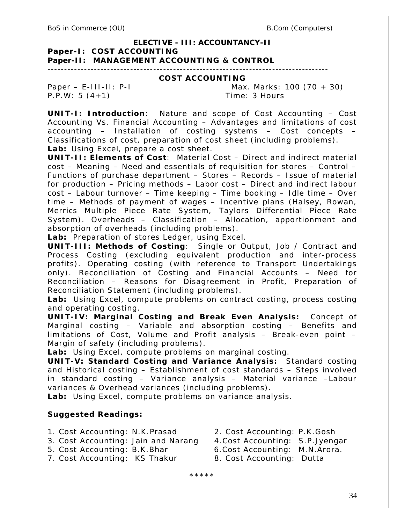#### **ELECTIVE - III: ACCOUNTANCY-II**

**Paper-I: COST ACCOUNTING**

**Paper-II: MANAGEMENT ACCOUNTING & CONTROL**

-------------------------------------------------------------------------------------

#### **COST ACCOUNTING**

P.P.W: 5 (4+1) Time: 3 Hours

Paper – E-III-II: P-I Max. Marks: 100 (70 + 30)

**UNIT-I: Introduction**: Nature and scope of Cost Accounting – Cost Accounting Vs. Financial Accounting – Advantages and limitations of cost accounting – Installation of costing systems – Cost concepts – Classifications of cost, preparation of cost sheet (including problems). **Lab:** Using Excel, prepare a cost sheet.

**UNIT-II: Elements of Cost**: Material Cost – Direct and indirect material cost – Meaning – Need and essentials of requisition for stores – Control – Functions of purchase department – Stores – Records – Issue of material for production – Pricing methods – Labor cost – Direct and indirect labour cost – Labour turnover – Time keeping – Time booking – Idle time – Over time – Methods of payment of wages – Incentive plans (Halsey, Rowan, Merrics Multiple Piece Rate System, Taylors Differential Piece Rate System). Overheads – Classification – Allocation, apportionment and absorption of overheads (including problems).

**Lab:** Preparation of stores Ledger, using Excel.

**UNIT-III: Methods of Costing**: Single or Output, Job / Contract and Process Costing (excluding equivalent production and inter-process profits). Operating costing (with reference to Transport Undertakings only). Reconciliation of Costing and Financial Accounts – Need for Reconciliation – Reasons for Disagreement in Profit, Preparation of Reconciliation Statement (including problems).

**Lab:** Using Excel, compute problems on contract costing, process costing and operating costing.

**UNIT-IV: Marginal Costing and Break Even Analysis:** Concept of Marginal costing – Variable and absorption costing – Benefits and limitations of Cost, Volume and Profit analysis – Break-even point – Margin of safety (including problems).

**Lab:** Using Excel, compute problems on marginal costing.

**UNIT-V: Standard Costing and Variance Analysis:** Standard costing and Historical costing – Establishment of cost standards – Steps involved in standard costing – Variance analysis – Material variance –Labour variances & Overhead variances (including problems).

**Lab:** Using Excel, compute problems on variance analysis.

**Suggested Readings:**

- 1. Cost Accounting: N.K.Prasad 2. Cost Accounting: P.K.Gosh
- 3. Cost Accounting: Jain and Narang 4.Cost Accounting: S.P.Jyengar
- 5. Cost Accounting: B.K.Bhar 6.Cost Accounting: M.N.Arora.
- 
- -
- 7. Cost Accounting: KS Thakur 8. Cost Accounting: Dutta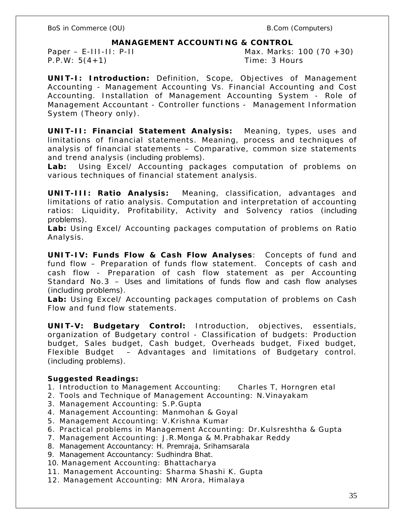**MANAGEMENT ACCOUNTING & CONTROL**

P.P.W: 5(4+1) Time: 3 Hours

Paper – E-III-II: P-II Max. Marks: 100 (70 +30)

**UNIT-I: Introduction:** Definition, Scope, Objectives of Management Accounting - Management Accounting Vs. Financial Accounting and Cost Accounting. Installation of Management Accounting System - Role of Management Accountant - Controller functions - Management Information System (Theory only).

**UNIT-II: Financial Statement Analysis:** Meaning, types, uses and limitations of financial statements. Meaning, process and techniques of analysis of financial statements – Comparative, common size statements and trend analysis (including problems).

**Lab:** Using Excel/ Accounting packages computation of problems on various techniques of financial statement analysis.

**UNIT-III: Ratio Analysis:** Meaning, classification, advantages and limitations of ratio analysis. Computation and interpretation of accounting ratios: Liquidity, Profitability, Activity and Solvency ratios (including problems).

**Lab:** Using Excel/ Accounting packages computation of problems on Ratio Analysis.

**UNIT-IV: Funds Flow & Cash Flow Analyses**: Concepts of fund and fund flow – Preparation of funds flow statement. Concepts of cash and cash flow - Preparation of cash flow statement as per Accounting Standard No.3 – Uses and limitations of funds flow and cash flow analyses (including problems).

**Lab:** Using Excel/ Accounting packages computation of problems on Cash Flow and fund flow statements.

**UNIT-V: Budgetary Control:** Introduction, objectives, essentials, organization of Budgetary control - Classification of budgets: Production budget, Sales budget, Cash budget, Overheads budget, Fixed budget, Flexible Budget – Advantages and limitations of Budgetary control. (including problems).

**Suggested Readings:**

- 1. Introduction to Management Accounting: Charles T, Horngren etal
- 2. Tools and Technique of Management Accounting: N.Vinayakam
- 3. Management Accounting: S.P.Gupta
- 4. Management Accounting: Manmohan & Goyal
- 5. Management Accounting: V.Krishna Kumar
- 6. Practical problems in Management Accounting: Dr.Kulsreshtha & Gupta
- 7. Management Accounting: J.R.Monga & M.Prabhakar Reddy
- 8. Management Accountancy: H. Premraja, Srihamsarala
- 9. Management Accountancy: Sudhindra Bhat.
- 10. Management Accounting: Bhattacharya
- 11. Management Accounting: Sharma Shashi K. Gupta
- 12. Management Accounting: MN Arora, Himalaya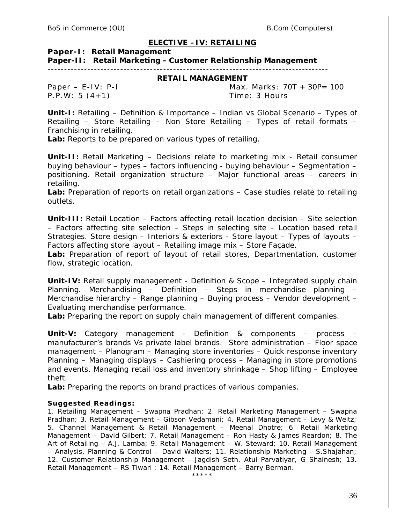#### **ELECTIVE –IV: RETAILING**

**Paper-I: Retail Management**

**Paper-II: Retail Marketing - Customer Relationship Management** 

-------------------------------------------------------------------------------------

#### **RETAIL MANAGEMENT**

P.P.W: 5 (4+1) Time: 3 Hours

Paper – E-IV: P-I Max. Marks: 70T + 30P= 100

**Unit-I:** Retailing – Definition & Importance – Indian vs Global Scenario – Types of Retailing – Store Retailing – Non Store Retailing – Types of retail formats – Franchising in retailing.

**Lab:** Reports to be prepared on various types of retailing.

**Unit-II:** Retail Marketing – Decisions relate to marketing mix - Retail consumer buying behaviour – types – factors influencing - buying behaviour – Segmentation – positioning. Retail organization structure – Major functional areas – careers in retailing.

**Lab:** Preparation of reports on retail organizations – Case studies relate to retailing outlets.

**Unit-III:** Retail Location – Factors affecting retail location decision – Site selection – Factors affecting site selection – Steps in selecting site – Location based retail Strategies. Store design – Interiors & exteriors - Store layout – Types of layouts – Factors affecting store layout – Retailing image mix – Store Façade.

**Lab:** Preparation of report of layout of retail stores, Departmentation, customer flow, strategic location.

**Unit-IV:** Retail supply management - Definition & Scope – Integrated supply chain Planning. Merchandising – Definition – Steps in merchandise planning – Merchandise hierarchy – Range planning – Buying process – Vendor development – Evaluating merchandise performance.

**Lab:** Preparing the report on supply chain management of different companies.

**Unit-V:** Category management - Definition & components – process – manufacturer's brands Vs private label brands. Store administration – Floor space management – Planogram – Managing store inventories – Quick response inventory Planning – Managing displays – Cashiering process – Managing in store promotions and events. Managing retail loss and inventory shrinkage – Shop lifting – Employee theft.

**Lab:** Preparing the reports on brand practices of various companies.

#### **Suggested Readings:**

1. Retailing Management – Swapna Pradhan; 2. Retail Marketing Management – Swapna Pradhan; 3. Retail Management – Gibson Vedamani; 4. Retail Management – Levy & Weitz; 5. Channel Management & Retail Management – Meenal Dhotre; 6. Retail Marketing Management – David Gilbert; 7. Retail Management – Ron Hasty & James Reardon; 8. The Art of Retailing – A.J. Lamba; 9. Retail Management – W. Steward; 10. Retail Management – Analysis, Planning & Control – David Walters; 11. Relationship Marketing - S.Shajahan; 12. Customer Relationship Management - Jagdish Seth, Atul Parvatiyar, G Shainesh; 13. Retail Management – RS Tiwari ; 14. Retail Management – Barry Berman.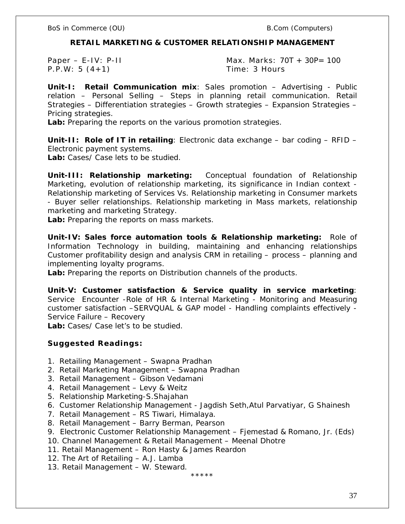**RETAIL MARKETING & CUSTOMER RELATIONSHIP MANAGEMENT**

P.P.W: 5 (4+1) Time: 3 Hours

Paper – E-IV: P-II Max. Marks: 70T + 30P= 100

**Unit-I: Retail Communication mix**: Sales promotion – Advertising - Public relation – Personal Selling – Steps in planning retail communication. Retail Strategies – Differentiation strategies – Growth strategies – Expansion Strategies – Pricing strategies.

**Lab:** Preparing the reports on the various promotion strategies.

**Unit-II: Role of IT in retailing**: Electronic data exchange – bar coding – RFID – Electronic payment systems.

**Lab:** Cases/ Case lets to be studied.

**Unit-III: Relationship marketing:** Conceptual foundation of Relationship Marketing, evolution of relationship marketing, its significance in Indian context - Relationship marketing of Services Vs. Relationship marketing in Consumer markets - Buyer seller relationships. Relationship marketing in Mass markets, relationship marketing and marketing Strategy.

**Lab:** Preparing the reports on mass markets.

**Unit-IV: Sales force automation tools & Relationship marketing:** Role of Information Technology in building, maintaining and enhancing relationships Customer profitability design and analysis CRM in retailing – process – planning and implementing loyalty programs.

**Lab:** Preparing the reports on Distribution channels of the products.

**Unit-V: Customer satisfaction & Service quality in service marketing**: Service Encounter -Role of HR & Internal Marketing - Monitoring and Measuring customer satisfaction –SERVQUAL & GAP model - Handling complaints effectively - Service Failure – Recovery

**Lab:** Cases/ Case let's to be studied.

**Suggested Readings:**

- 1. Retailing Management Swapna Pradhan
- 2. Retail Marketing Management Swapna Pradhan
- 3. Retail Management Gibson Vedamani
- 4. Retail Management Levy & Weitz
- 5. Relationship Marketing-S.Shajahan
- 6. Customer Relationship Management Jagdish Seth,Atul Parvatiyar, G Shainesh
- 7. Retail Management RS Tiwari, Himalaya.
- 8. Retail Management Barry Berman, Pearson
- 9. Electronic Customer Relationship Management Fjemestad & Romano, Jr. (Eds)
- 10. Channel Management & Retail Management Meenal Dhotre
- 11. Retail Management Ron Hasty & James Reardon
- 12. The Art of Retailing A.J. Lamba
- 13. Retail Management W. Steward.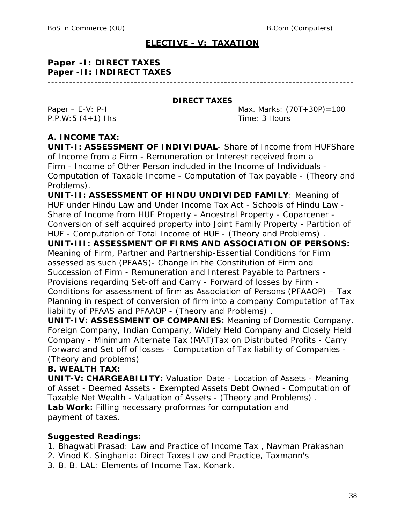# **ELECTIVE - V: TAXATION**

**Paper -I: DIRECT TAXES Paper -II: INDIRECT TAXES** -------------------------------------------------------------------------------------

**DIRECT TAXES**

P.P.W:5 (4+1) Hrs Time: 3 Hours

Paper – E-V: P-I  $\mu$  Max. Marks:  $(70T+30P)=100$ 

# **A. INCOME TAX:**

**UNIT-I: ASSESSMENT OF INDIVIDUAL**- Share of Income from HUFShare of Income from a Firm - Remuneration or Interest received from a Firm - Income of Other Person included in the Income of Individuals - Computation of Taxable Income - Computation of Tax payable - (Theory and Problems).

**UNIT-II: ASSESSMENT OF HINDU UNDIVIDED FAMILY**: Meaning of HUF under Hindu Law and Under Income Tax Act - Schools of Hindu Law - Share of Income from HUF Property - Ancestral Property - Coparcener - Conversion of self acquired property into Joint Family Property - Partition of HUF - Computation of Total Income of HUF - (Theory and Problems) . **UNIT-III: ASSESSMENT OF FIRMS AND ASSOCIATION OF PERSONS:** Meaning of Firm, Partner and Partnership-Essential Conditions for Firm assessed as such (PFAAS)- Change in the Constitution of Firm and Succession of Firm - Remuneration and Interest Payable to Partners - Provisions regarding Set-off and Carry - Forward of losses by Firm - Conditions for assessment of firm as Association of Persons (PFAAOP) – Tax Planning in respect of conversion of firm into a company Computation of Tax liability of PFAAS and PFAAOP - (Theory and Problems) .

**UNIT-IV: ASSESSMENT OF COMPANIES:** Meaning of Domestic Company, Foreign Company, Indian Company, Widely Held Company and Closely Held Company - Minimum Alternate Tax (MAT)Tax on Distributed Profits - Carry Forward and Set off of losses - Computation of Tax liability of Companies - (Theory and problems)

**B. WEALTH TAX:**

**UNIT-V: CHARGEABILITY:** Valuation Date - Location of Assets - Meaning of Asset - Deemed Assets - Exempted Assets Debt Owned - Computation of Taxable Net Wealth - Valuation of Assets - (Theory and Problems) . **Lab Work:** Filling necessary proformas for computation and payment of taxes.

**Suggested Readings:**

- 1. Bhagwati Prasad: Law and Practice of Income Tax , Navman Prakashan
- 2. Vinod K. Singhania: Direct Taxes Law and Practice, Taxmann's
- 3. B. B. LAL: Elements of Income Tax, Konark.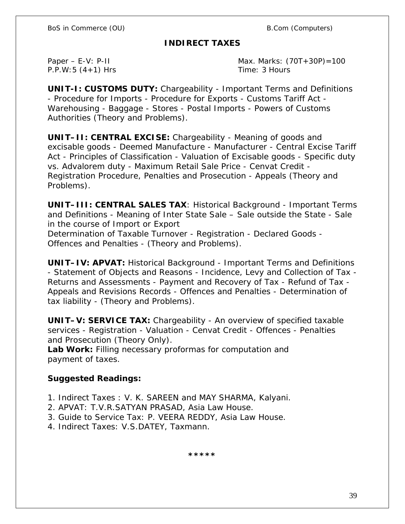# **INDIRECT TAXES**

P.P.W: 5 (4+1) Hrs Time: 3 Hours

Paper – E-V: P-II Max. Marks: (70T+30P)=100

**UNIT-I: CUSTOMS DUTY:** Chargeability - Important Terms and Definitions - Procedure for Imports - Procedure for Exports - Customs Tariff Act - Warehousing - Baggage - Stores - Postal Imports - Powers of Customs Authorities (Theory and Problems).

**UNIT–II: CENTRAL EXCISE:** Chargeability - Meaning of goods and excisable goods - Deemed Manufacture - Manufacturer - Central Excise Tariff Act - Principles of Classification - Valuation of Excisable goods - Specific duty vs. Advalorem duty - Maximum Retail Sale Price - Cenvat Credit - Registration Procedure, Penalties and Prosecution - Appeals (Theory and Problems).

**UNIT–III: CENTRAL SALES TAX**: Historical Background - Important Terms and Definitions - Meaning of Inter State Sale – Sale outside the State - Sale in the course of Import or Export Determination of Taxable Turnover - Registration - Declared Goods - Offences and Penalties - (Theory and Problems).

**UNIT–IV: APVAT:** Historical Background - Important Terms and Definitions - Statement of Objects and Reasons - Incidence, Levy and Collection of Tax - Returns and Assessments - Payment and Recovery of Tax - Refund of Tax - Appeals and Revisions Records - Offences and Penalties - Determination of tax liability - (Theory and Problems).

**UNIT–V: SERVICE TAX:** Chargeability - An overview of specified taxable services - Registration - Valuation - Cenvat Credit - Offences - Penalties and Prosecution (Theory Only).

**Lab Work:** Filling necessary proformas for computation and payment of taxes.

**Suggested Readings:** 

- 1. Indirect Taxes : V. K. SAREEN and MAY SHARMA, Kalyani.
- 2. APVAT: T.V.R.SATYAN PRASAD, Asia Law House.
- 3. Guide to Service Tax: P. VEERA REDDY, Asia Law House.
- 4. Indirect Taxes: V.S.DATEY, Taxmann.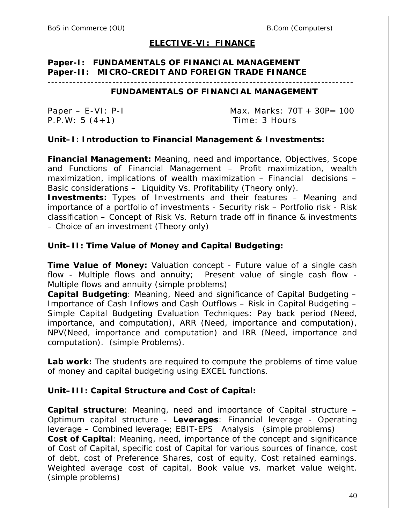# **ELECTIVE-VI: FINANCE**

# **Paper-I: FUNDAMENTALS OF FINANCIAL MANAGEMENT Paper-II: MICRO-CREDIT AND FOREIGN TRADE FINANCE**

#### -------------------------------------------------------------------------------------

# **FUNDAMENTALS OF FINANCIAL MANAGEMENT**

P.P.W: 5 (4+1) Time: 3 Hours

Paper – E-VI: P-I Max. Marks: 70T + 30P= 100

**Unit–I: Introduction to Financial Management & Investments:**

**Financial Management:** Meaning, need and importance, Objectives, Scope and Functions of Financial Management – Profit maximization, wealth maximization, implications of wealth maximization – Financial decisions – Basic considerations – Liquidity Vs. Profitability (Theory only).

**Investments:** Types of Investments and their features – Meaning and importance of a portfolio of investments - Security risk – Portfolio risk - Risk classification – Concept of Risk Vs. Return trade off in finance & investments – Choice of an investment (Theory only)

**Unit–II: Time Value of Money and Capital Budgeting:**

**Time Value of Money:** Valuation concept - Future value of a single cash flow - Multiple flows and annuity; Present value of single cash flow - Multiple flows and annuity (simple problems)

**Capital Budgeting**: Meaning, Need and significance of Capital Budgeting – Importance of Cash Inflows and Cash Outflows – Risk in Capital Budgeting – Simple Capital Budgeting Evaluation Techniques: Pay back period (Need, importance, and computation), ARR (Need, importance and computation), NPV(Need, importance and computation) and IRR (Need, importance and computation). (simple Problems).

**Lab work:** The students are required to compute the problems of time value of money and capital budgeting using EXCEL functions.

**Unit–III: Capital Structure and Cost of Capital:**

**Capital structure**: Meaning, need and importance of Capital structure – Optimum capital structure - **Leverages**: Financial leverage - Operating leverage – Combined leverage; EBIT-EPS Analysis (simple problems) **Cost of Capital**: Meaning, need, importance of the concept and significance of Cost of Capital, specific cost of Capital for various sources of finance, cost of debt, cost of Preference Shares, cost of equity, Cost retained earnings. Weighted average cost of capital, Book value vs. market value weight. (simple problems)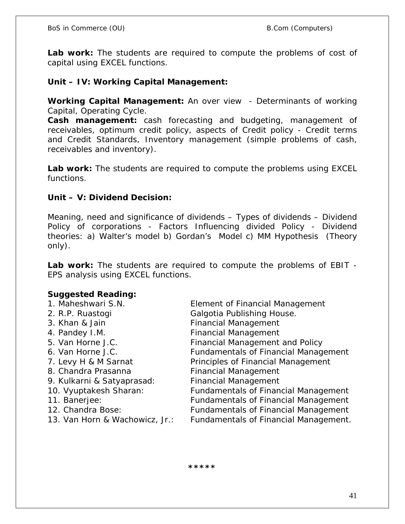**Lab work:** The students are required to compute the problems of cost of capital using EXCEL functions.

**Unit – IV: Working Capital Management:**

**Working Capital Management:** An over view - Determinants of working Capital, Operating Cycle.

**Cash management:** cash forecasting and budgeting, management of receivables, optimum credit policy, aspects of Credit policy - Credit terms and Credit Standards, Inventory management (simple problems of cash, receivables and inventory).

**Lab work:** The students are required to compute the problems using EXCEL functions.

**Unit – V: Dividend Decision:**

Meaning, need and significance of dividends – Types of dividends – Dividend Policy of corporations - Factors Influencing divided Policy - Dividend theories: a) Walter's model b) Gordan's Model c) MM Hypothesis (Theory only).

**Lab work:** The students are required to compute the problems of EBIT - EPS analysis using EXCEL functions.

# **Suggested Reading:**

- 1. Maheshwari S.N. Element of Financial Management 2. R.P. Ruastogi Galgotia Publishing House. 3. Khan & Jain **Financial Management** 4. Pandey I.M. **Financial Management** 5. Van Horne J.C. Financial Management and Policy 6. Van Horne J.C. Fundamentals of Financial Management
- 
- 
- 
- 
- 
- 
- 
- 
- 7. Levy H & M Sarnat Principles of Financial Management 8. Chandra Prasanna Financial Management 9. Kulkarni & Satyaprasad: Financial Management 10. Vyuptakesh Sharan: Fundamentals of Financial Management 11. Banerjee: Fundamentals of Financial Management 12. Chandra Bose: Fundamentals of Financial Management 13. Van Horn & Wachowicz, Jr.: Fundamentals of Financial Management.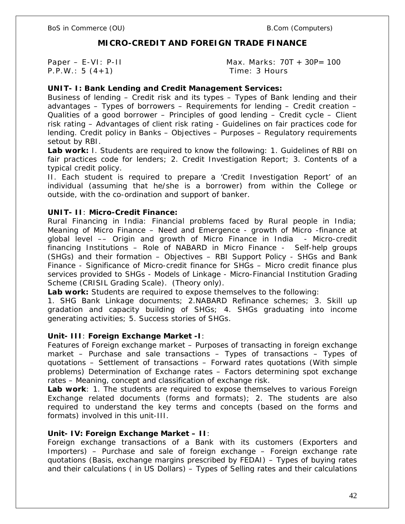BoS in Commerce (OU) example and the set of the B.Com (Computers)

# **MICRO-CREDIT AND FOREIGN TRADE FINANCE**

P.P.W.: 5 (4+1) Time: 3 Hours

Paper – E-VI: P-II Max. Marks: 70T + 30P= 100

**UNIT- I: Bank Lending and Credit Management Services:** 

Business of lending – Credit risk and its types – Types of Bank lending and their advantages – Types of borrowers – Requirements for lending – Credit creation – Qualities of a good borrower – Principles of good lending – Credit cycle – Client risk rating – Advantages of client risk rating - Guidelines on fair practices code for lending. Credit policy in Banks – Objectives – Purposes – Regulatory requirements setout by RBI.

**Lab work:** I. Students are required to know the following: 1. Guidelines of RBI on fair practices code for lenders; 2. Credit Investigation Report; 3. Contents of a typical credit policy.

II. Each student is required to prepare a 'Credit Investigation Report' of an individual (assuming that he/she is a borrower) from within the College or outside, with the co-ordination and support of banker.

#### **UNIT- II**: **Micro-Credit Finance:**

Rural Financing in India: Financial problems faced by Rural people in India; Meaning of Micro Finance – Need and Emergence - growth of Micro -finance at global level –– Origin and growth of Micro Finance in India - Micro-credit financing Institutions – Role of NABARD in Micro Finance - Self-help groups (SHGs) and their formation – Objectives – RBI Support Policy - SHGs and Bank Finance - Significance of Micro-credit finance for SHGs – Micro credit finance plus services provided to SHGs - Models of Linkage - Micro-Financial Institution Grading Scheme (CRISIL Grading Scale). (Theory only).

**Lab work:** Students are required to expose themselves to the following:

1. SHG Bank Linkage documents; 2.NABARD Refinance schemes; 3. Skill up gradation and capacity building of SHGs; 4. SHGs graduating into income generating activities; 5. Success stories of SHGs.

**Unit- III**: **Foreign Exchange Market -I**:

Features of Foreign exchange market – Purposes of transacting in foreign exchange market – Purchase and sale transactions – Types of transactions – Types of quotations – Settlement of transactions – Forward rates quotations (With simple problems) Determination of Exchange rates – Factors determining spot exchange rates – Meaning, concept and classification of exchange risk.

**Lab work**: 1. The students are required to expose themselves to various Foreign Exchange related documents (forms and formats); 2. The students are also required to understand the key terms and concepts (based on the forms and formats) involved in this unit-III.

## **Unit- IV: Foreign Exchange Market – II**:

Foreign exchange transactions of a Bank with its customers (Exporters and Importers) – Purchase and sale of foreign exchange – Foreign exchange rate quotations (Basis, exchange margins prescribed by FEDAI) – Types of buying rates and their calculations ( in US Dollars) – Types of Selling rates and their calculations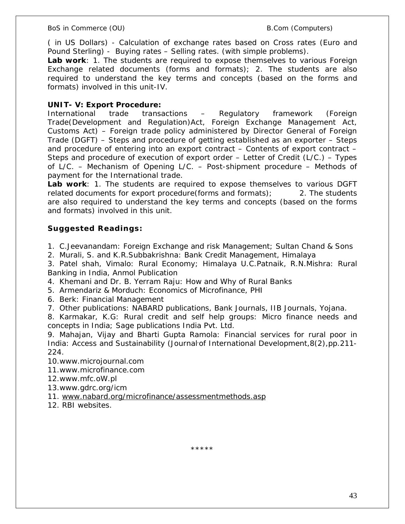( in US Dollars) - Calculation of exchange rates based on Cross rates (Euro and Pound Sterling) - Buying rates – Selling rates. (with simple problems).

**Lab work**: 1. The students are required to expose themselves to various Foreign Exchange related documents (forms and formats); 2. The students are also required to understand the key terms and concepts (based on the forms and formats) involved in this unit-IV.

# **UNIT- V: Export Procedure:**

International trade transactions – Regulatory framework (Foreign Trade(Development and Regulation)Act, Foreign Exchange Management Act, Customs Act) – Foreign trade policy administered by Director General of Foreign Trade (DGFT) – Steps and procedure of getting established as an exporter – Steps and procedure of entering into an export contract – Contents of export contract – Steps and procedure of execution of export order – Letter of Credit (L/C.) – Types of L/C. – Mechanism of Opening L/C. – Post-shipment procedure – Methods of payment for the International trade.

**Lab work**: 1. The students are required to expose themselves to various DGFT related documents for export procedure(forms and formats); 2. The students are also required to understand the key terms and concepts (based on the forms and formats) involved in this unit.

# **Suggested Readings:**

1. C.Jeevanandam: Foreign Exchange and risk Management; Sultan Chand & Sons

2. Murali, S. and K.R.Subbakrishna: Bank Credit Management, Himalaya

3. Patel shah, Vimalo: Rural Economy; Himalaya U.C.Patnaik, R.N.Mishra: Rural Banking in India, Anmol Publication

4. Khemani and Dr. B. Yerram Raju: How and Why of Rural Banks

5. Armendariz & Morduch: Economics of Microfinance, PHI

6. Berk: Financial Management

7. Other publications: NABARD publications, Bank Journals, IIB Journals, Yojana.

8. Karmakar, K.G: Rural credit and self help groups: Micro finance needs and concepts in India; Sage publications India Pvt. Ltd.

9. Mahajan, Vijay and Bharti Gupta Ramola: Financial services for rural poor in India: Access and Sustainability (Journal of International Development, 8(2), pp. 211-224.

10.www.microjournal.com

11.www.microfinance.com

12.www.mfc.oW.pl

13.www.gdrc.org/icm

11. www.nabard.org/microfinance/assessmentmethods.asp

12. RBI websites.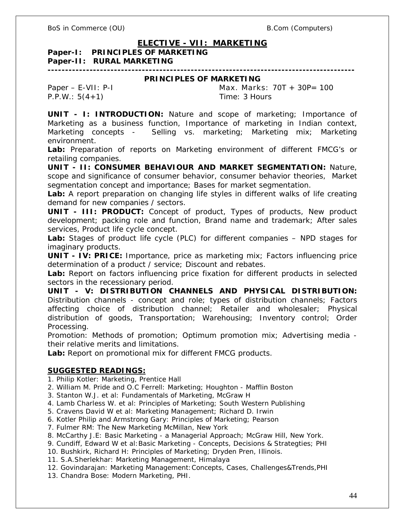# **ELECTIVE - VII: MARKETING**

**Paper-I: PRINCIPLES OF MARKETING Paper-II: RURAL MARKETING ----------------------------------------------------------------------------------------**

#### **PRINCIPLES OF MARKETING**

P.P.W.: 5(4+1) Time: 3 Hours

Paper – E-VII: P-I Max. Marks: 70T + 30P= 100

**UNIT - I: INTRODUCTION:** Nature and scope of marketing; Importance of Marketing as a business function, Importance of marketing in Indian context, Marketing concepts - Selling vs. marketing; Marketing mix; Marketing environment.

**Lab:** Preparation of reports on Marketing environment of different FMCG's or retailing companies.

**UNIT - II: CONSUMER BEHAVIOUR AND MARKET SEGMENTATION:** Nature, scope and significance of consumer behavior, consumer behavior theories, Market segmentation concept and importance; Bases for market segmentation.

**Lab:** A report preparation on changing life styles in different walks of life creating demand for new companies / sectors.

**UNIT - III: PRODUCT:** Concept of product, Types of products, New product development; packing role and function, Brand name and trademark; After sales services, Product life cycle concept.

**Lab:** Stages of product life cycle (PLC) for different companies – NPD stages for imaginary products.

**UNIT - IV: PRICE:** Importance, price as marketing mix; Factors influencing price determination of a product / service; Discount and rebates.

**Lab:** Report on factors influencing price fixation for different products in selected sectors in the recessionary period.

**UNIT - V: DISTRIBUTION CHANNELS AND PHYSICAL DISTRIBUTION:**  Distribution channels - concept and role; types of distribution channels; Factors affecting choice of distribution channel; Retailer and wholesaler; Physical distribution of goods, Transportation; Warehousing; Inventory control; Order Processing.

Promotion: Methods of promotion; Optimum promotion mix; Advertising media their relative merits and limitations.

**Lab:** Report on promotional mix for different FMCG products.

## **SUGGESTED READINGS:**

1. Philip Kotler: Marketing, Prentice Hall

2. William M. Pride and O.C Ferrell: Marketing; Houghton - Mafflin Boston

3. Stanton W.J. et al: Fundamentals of Marketing, McGraw H

4. Lamb Charless W. et al: Principles of Marketing; South Western Publishing

5. Cravens David W et al: Marketing Management; Richard D. Irwin

6. Kotler Philip and Armstrong Gary: Principles of Marketing; Pearson

7. Fulmer RM: The New Marketing McMillan, New York

8. McCarthy J.E: Basic Marketing - a Managerial Approach; McGraw Hill, New York.

9. Cundiff, Edward W et al:Basic Marketing - Concepts, Decisions & Strategties; PHI

10. Bushkirk, Richard H: Principles of Marketing; Dryden Pren, Illinois.

11. S.A.Sherlekhar: Marketing Management, Himalaya

12. Govindarajan: Marketing Management:Concepts, Cases, Challenges&Trends,PHI

13. Chandra Bose: Modern Marketing, PHI.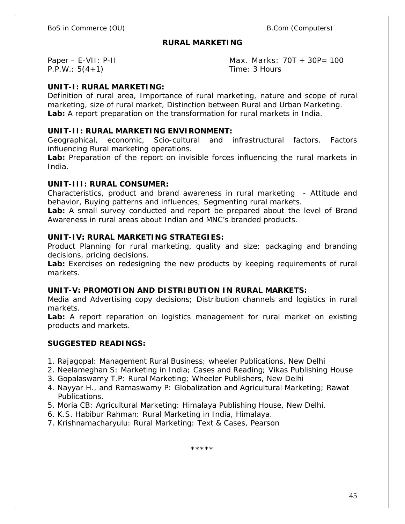#### **RURAL MARKETING**

P.P.W.: 5(4+1) Time: 3 Hours

Paper – E-VII: P-II Max. Marks: 70T + 30P= 100

# **UNIT-I: RURAL MARKETING:**

Definition of rural area, Importance of rural marketing, nature and scope of rural marketing, size of rural market, Distinction between Rural and Urban Marketing. **Lab:** A report preparation on the transformation for rural markets in India.

## **UNIT-II: RURAL MARKETING ENVIRONMENT:**

Geographical, economic, Scio-cultural and infrastructural factors. Factors influencing Rural marketing operations.

**Lab:** Preparation of the report on invisible forces influencing the rural markets in India.

## **UNIT-III: RURAL CONSUMER:**

Characteristics, product and brand awareness in rural marketing - Attitude and behavior, Buying patterns and influences; Segmenting rural markets.

**Lab:** A small survey conducted and report be prepared about the level of Brand Awareness in rural areas about Indian and MNC's branded products.

# **UNIT-IV: RURAL MARKETING STRATEGIES:**

Product Planning for rural marketing, quality and size; packaging and branding decisions, pricing decisions.

**Lab:** Exercises on redesigning the new products by keeping requirements of rural markets.

**UNIT-V: PROMOTION AND DISTRIBUTION IN RURAL MARKETS:** 

Media and Advertising copy decisions; Distribution channels and logistics in rural markets.

**Lab:** A report reparation on logistics management for rural market on existing products and markets.

## **SUGGESTED READINGS:**

- 1. Rajagopal: Management Rural Business; wheeler Publications, New Delhi
- 2. Neelameghan S: Marketing in India; Cases and Reading; Vikas Publishing House
- 3. Gopalaswamy T.P: Rural Marketing; Wheeler Publishers, New Delhi
- 4. Nayyar H., and Ramaswamy P: Globalization and Agricultural Marketing; Rawat Publications.
- 5. Moria CB: Agricultural Marketing: Himalaya Publishing House, New Delhi.
- 6. K.S. Habibur Rahman: Rural Marketing in India, Himalaya.
- 7. Krishnamacharyulu: Rural Marketing: Text & Cases, Pearson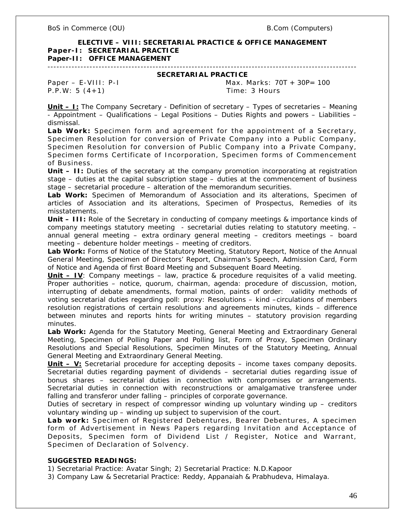**ELECTIVE – VIII: SECRETARIAL PRACTICE & OFFICE MANAGEMENT Paper-I: SECRETARIAL PRACTICE Paper-II: OFFICE MANAGEMENT**

#### ------------------------------------------------------------------------------------------------------- **SECRETARIAL PRACTICE**

P.P.W: 5 (4+1) Time: 3 Hours

Paper – E-VIII: P-I Max. Marks: 70T + 30P= 100

**Unit – I:** The Company Secretary - Definition of secretary – Types of secretaries – Meaning - Appointment – Qualifications – Legal Positions – Duties Rights and powers – Liabilities – dismissal.

**Lab Work:** Specimen form and agreement for the appointment of a Secretary, Specimen Resolution for conversion of Private Company into a Public Company, Specimen Resolution for conversion of Public Company into a Private Company, Specimen forms Certificate of Incorporation, Specimen forms of Commencement of Business.

**Unit – II:** Duties of the secretary at the company promotion incorporating at registration stage – duties at the capital subscription stage – duties at the commencement of business stage – secretarial procedure – alteration of the memorandum securities.

**Lab Work:** Specimen of Memorandum of Association and its alterations, Specimen of articles of Association and its alterations, Specimen of Prospectus, Remedies of its misstatements.

**Unit – III:** Role of the Secretary in conducting of company meetings & importance kinds of company meetings statutory meeting - secretarial duties relating to statutory meeting. – annual general meeting – extra ordinary general meeting – creditors meetings – board meeting – debenture holder meetings – meeting of creditors.

**Lab Work:** Forms of Notice of the Statutory Meeting, Statutory Report, Notice of the Annual General Meeting, Specimen of Directors' Report, Chairman's Speech, Admission Card, Form of Notice and Agenda of first Board Meeting and Subsequent Board Meeting.

**Unit – IV**: Company meetings – law, practice & procedure requisites of a valid meeting. Proper authorities – notice, quorum, chairman, agenda: procedure of discussion, motion, interrupting of debate amendments, formal motion, paints of order: validity methods of voting secretarial duties regarding poll: proxy: Resolutions – kind –circulations of members resolution registrations of certain resolutions and agreements minutes, kinds – difference between minutes and reports hints for writing minutes – statutory provision regarding minutes.

**Lab Work:** Agenda for the Statutory Meeting, General Meeting and Extraordinary General Meeting, Specimen of Polling Paper and Polling list, Form of Proxy, Specimen Ordinary Resolutions and Special Resolutions, Specimen Minutes of the Statutory Meeting, Annual General Meeting and Extraordinary General Meeting.

**Unit – V:** Secretarial procedure for accepting deposits – income taxes company deposits. Secretarial duties regarding payment of dividends – secretarial duties regarding issue of bonus shares – secretarial duties in connection with compromises or arrangements. Secretarial duties in connection with reconstructions or amalgamative transferee under falling and transferor under falling – principles of corporate governance.

Duties of secretary in respect of compressor winding up voluntary winding up – creditors voluntary winding up – winding up subject to supervision of the court.

**Lab work:** Specimen of Registered Debentures, Bearer Debentures, A specimen form of Advertisement in News Papers regarding Invitation and Acceptance of Deposits, Specimen form of Dividend List / Register, Notice and Warrant, Specimen of Declaration of Solvency.

#### **SUGGESTED READINGS:**

1) Secretarial Practice: Avatar Singh; 2) Secretarial Practice: N.D.Kapoor

3) Company Law & Secretarial Practice: Reddy, Appanaiah & Prabhudeva, Himalaya.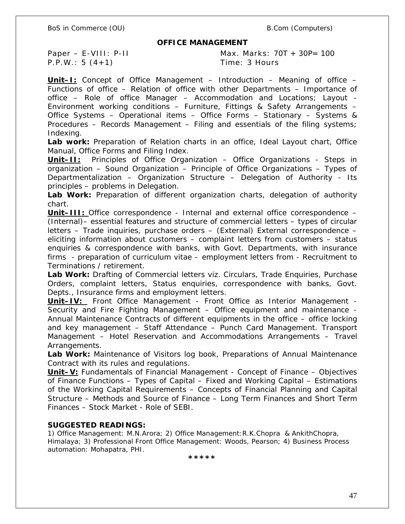BoS in Commerce (OU) and the set of the set of the B.Com (Computers) and B.Com (Computers)

#### **OFFICE MANAGEMENT**

P.P.W.: 5 (4+1) Time: 3 Hours

Paper – E-VIII: P-II Max. Marks: 70T + 30P= 100

**Unit–I:** Concept of Office Management – Introduction – Meaning of office – Functions of office – Relation of office with other Departments – Importance of office – Role of office Manager – Accommodation and Locations; Layout - Environment working conditions – Furniture, Fittings & Safety Arrangements – Office Systems – Operational items – Office Forms – Stationary – Systems & Procedures – Records Management – Filing and essentials of the filing systems; Indexing.

**Lab work:** Preparation of Relation charts in an office, Ideal Layout chart, Office Manual, Office Forms and Filing Index.

**Unit–II:** Principles of Office Organization – Office Organizations - Steps in organization – Sound Organization – Principle of Office Organizations – Types of Departmentalization – Organization Structure – Delegation of Authority - Its principles – problems in Delegation.

**Lab Work:** Preparation of different organization charts, delegation of authority chart.

**Unit–III:** Office correspondence - Internal and external office correspondence – (Internal)– essential features and structure of commercial letters – types of circular letters – Trade inquiries, purchase orders – (External) External correspondence – eliciting information about customers – complaint letters from customers – status enquiries & correspondence with banks, with Govt. Departments, with insurance firms - preparation of curriculum vitae – employment letters from - Recruitment to Terminations / retirement.

**Lab Work:** Drafting of Commercial letters viz. Circulars, Trade Enquiries, Purchase Orders, complaint letters, Status enquiries, correspondence with banks, Govt. Depts., Insurance firms and employment letters.

**Unit–IV:** Front Office Management - Front Office as Interior Management - Security and Fire Fighting Management – Office equipment and maintenance - Annual Maintenance Contracts of different equipments in the office – office locking and key management – Staff Attendance – Punch Card Management. Transport Management – Hotel Reservation and Accommodations Arrangements – Travel Arrangements.

**Lab Work:** Maintenance of Visitors log book, Preparations of Annual Maintenance Contract with its rules and regulations.

**Unit–V:** Fundamentals of Financial Management - Concept of Finance – Objectives of Finance Functions – Types of Capital – Fixed and Working Capital – Estimations of the Working Capital Requirements – Concepts of Financial Planning and Capital Structure – Methods and Source of Finance – Long Term Finances and Short Term Finances – Stock Market - Role of SEBI.

#### **SUGGESTED READINGS:**

1) Office Management: M.N.Arora; 2) Office Management:R.K.Chopra & AnkithChopra, Himalaya; 3) Professional Front Office Management: Woods, Pearson; 4) Business Process automation: Mohapatra, PHI.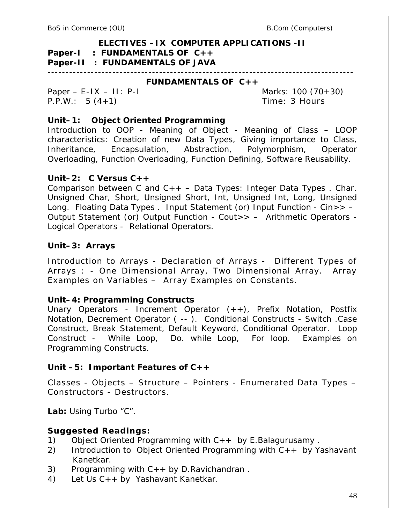**ELECTIVES –IX COMPUTER APPLICATIONS -II Paper-I : FUNDAMENTALS OF C++ Paper-II : FUNDAMENTALS OF JAVA** -------------------------------------------------------------------------------------

**FUNDAMENTALS OF C++**

Paper – E-IX – II: P-I Marks: 100 (70+30) P.P.W.: 5 (4+1) Time: 3 Hours

**Unit–1: Object Oriented Programming**

Introduction to OOP - Meaning of Object - Meaning of Class – LOOP characteristics: Creation of new Data Types, Giving importance to Class, Inheritance, Encapsulation, Abstraction, Polymorphism, Operator Overloading, Function Overloading, Function Defining, Software Reusability.

# **Unit–2: C Versus C++**

Comparison between C and  $C_{++}$  – Data Types: Integer Data Types. Char. Unsigned Char, Short, Unsigned Short, Int, Unsigned Int, Long, Unsigned Long. Floating Data Types . Input Statement (or) Input Function - Cin>> – Output Statement (or) Output Function - Cout>> – Arithmetic Operators - Logical Operators - Relational Operators.

**Unit–3: Arrays**

Introduction to Arrays - Declaration of Arrays - Different Types of Arrays : - One Dimensional Array, Two Dimensional Array. Array Examples on Variables – Array Examples on Constants.

**Unit–4: Programming Constructs**

Unary Operators - Increment Operator (++), Prefix Notation, Postfix Notation, Decrement Operator ( -- ). Conditional Constructs - Switch .Case Construct, Break Statement, Default Keyword, Conditional Operator. Loop Construct - While Loop, Do. while Loop, For loop. Examples on Programming Constructs.

**Unit –5: Important Features of C++**

Classes - Objects – Structure – Pointers - Enumerated Data Types – Constructors - Destructors.

**Lab:** Using Turbo "C".

**Suggested Readings:**

- 1) Object Oriented Programming with C++ by E.Balagurusamy .
- 2) Introduction to Object Oriented Programming with C++ by Yashavant Kanetkar.
- 3) Programming with  $C++$  by D. Ravichandran.
- 4) Let Us C++ by Yashavant Kanetkar.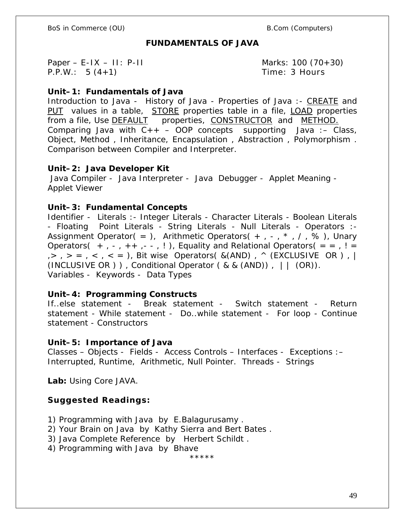BoS in Commerce (OU) example and the set of the B.Com (Computers)

# **FUNDAMENTALS OF JAVA**

Paper – E-IX – II: P-II  $\sim$  Marks: 100 (70+30) P.P.W.: 5 (4+1) Time: 3 Hours

**Unit–1: Fundamentals of Java**

Introduction to Java - History of Java - Properties of Java :- CREATE and PUT values in a table, STORE properties table in a file, LOAD properties from a file, Use DEFAULT properties, CONSTRUCTOR and METHOD. Comparing Java with  $C_{++}$  – OOP concepts supporting Java: – Class, Object, Method , Inheritance, Encapsulation , Abstraction , Polymorphism . Comparison between Compiler and Interpreter.

**Unit–2: Java Developer Kit** Java Compiler - Java Interpreter - Java Debugger - Applet Meaning - Applet Viewer

**Unit–3: Fundamental Concepts**

Identifier - Literals :- Integer Literals - Character Literals - Boolean Literals - Floating Point Literals - String Literals - Null Literals - Operators :- Assignment Operator( = ), Arithmetic Operators( + ,  $-$ ,  $*$ ,  $/$ ,  $\%$ ), Unary Operators(  $+, -, ++, -, -, !$ ), Equality and Relational Operators( = =, ! =  $, >, > =, <, < =$ ), Bit wise Operators( &(AND),  $\land$  (EXCLUSIVE OR), | (INCLUSIVE OR ) ), Conditional Operator (  $& 8$  (AND)),  $| \cdot |$  (OR)). Variables - Keywords - Data Types

**Unit–4: Programming Constructs**

If..else statement - Break statement - Switch statement - Return statement - While statement - Do..while statement - For loop - Continue statement - Constructors

**Unit–5: Importance of Java** Classes – Objects - Fields - Access Controls – Interfaces - Exceptions :– Interrupted, Runtime, Arithmetic, Null Pointer. Threads - Strings

**Lab:** Using Core JAVA.

**Suggested Readings:**

1) Programming with Java by E.Balagurusamy .

2) Your Brain on Java by Kathy Sierra and Bert Bates .

3) Java Complete Reference by Herbert Schildt .

4) Programming with Java by Bhave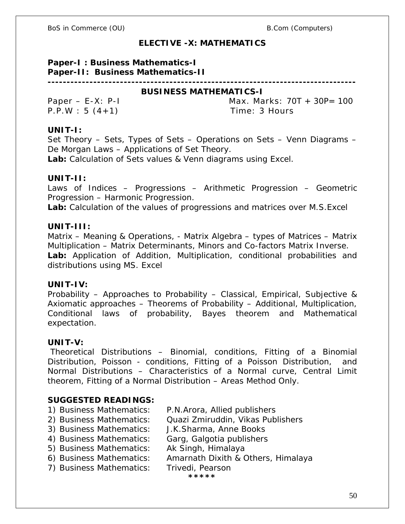# **ELECTIVE -X: MATHEMATICS**

## **Paper-I : Business Mathematics-I Paper-II: Business Mathematics-II**

**--------------------------------------------------------------------------------- BUSINESS MATHEMATICS-I**

P.P.W : 5 (4+1) Time: 3 Hours

Paper – E-X: P-I Max. Marks: 70T + 30P= 100

# **UNIT-I:**

Set Theory – Sets, Types of Sets – Operations on Sets – Venn Diagrams – De Morgan Laws – Applications of Set Theory.

**Lab:** Calculation of Sets values & Venn diagrams using Excel.

# **UNIT-II:**

Laws of Indices – Progressions – Arithmetic Progression – Geometric Progression – Harmonic Progression.

**Lab:** Calculation of the values of progressions and matrices over M.S.Excel

# **UNIT-III:**

Matrix – Meaning & Operations, - Matrix Algebra – types of Matrices – Matrix Multiplication – Matrix Determinants, Minors and Co-factors Matrix Inverse. **Lab:** Application of Addition, Multiplication, conditional probabilities and distributions using MS. Excel

# **UNIT-IV:**

Probability – Approaches to Probability – Classical, Empirical, Subjective & Axiomatic approaches – Theorems of Probability – Additional, Multiplication, Conditional laws of probability, Bayes theorem and Mathematical expectation.

# **UNIT-V:**

Theoretical Distributions – Binomial, conditions, Fitting of a Binomial Distribution, Poisson - conditions, Fitting of a Poisson Distribution, and Normal Distributions – Characteristics of a Normal curve, Central Limit theorem, Fitting of a Normal Distribution – Areas Method Only.

# **SUGGESTED READINGS:**

- 1) Business Mathematics: P.N.Arora, Allied publishers
- 2) Business Mathematics: Quazi Zmiruddin, Vikas Publishers

3) Business Mathematics: J.K.Sharma, Anne Books

- 4) Business Mathematics: Garg, Galgotia publishers
- 5) Business Mathematics: Ak Singh, Himalaya
- 6) Business Mathematics: Amarnath Dixith & Others, Himalaya
- 7) Business Mathematics: Trivedi, Pearson